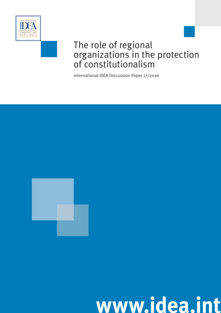



# The role of regional organizations in the protection of constitutionalism

International IDEA Discussion Paper 17/2016



# www.idea.i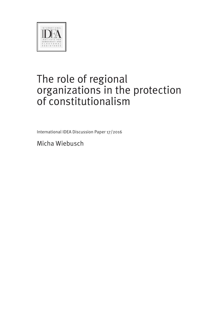

# The role of regional organizations in the protection of constitutionalism

International IDEA Discussion Paper 17/2016

Micha Wiebusch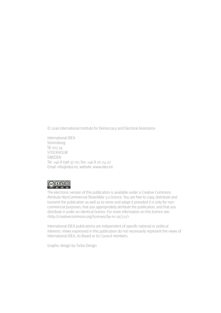© 2016 International Institute for Democracy and Electoral Assistance

International IDEA Strömsborg SE-103 34 STOCKHOLM SWEDEN Tel: +46 8 698 37 00, fax: +46 8 20 24 22 Email: info@idea.int, website: www.idea.int

# $CO$  $O$  $O$

The electronic version of this publication is available under a Creative Commons Attribute-NonCommercial-ShareAlike 3.0 licence. You are free to copy, distribute and transmit the publication as well as to remix and adapt it provided it is only for noncommercial purposes, that you appropriately attribute the publication, and that you distribute it under an identical licence. For more information on this licence see: <http://creativecommons.org/licenses/by-nc-sa/3.0/>.

International IDEA publications are independent of specific national or political interests. Views expressed in this publication do not necessarily represent the views of International IDEA, its Board or its Council members.

Graphic design by Turbo Design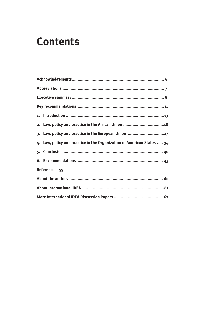# **Contents**

| 3. Law, policy and practice in the European Union 27                   |
|------------------------------------------------------------------------|
| 4. Law, policy and practice in the Organization of American States  34 |
|                                                                        |
|                                                                        |
| References 55                                                          |
|                                                                        |
|                                                                        |
|                                                                        |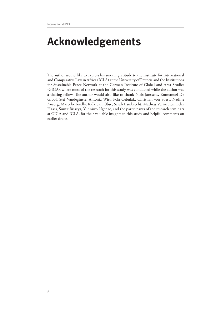# <span id="page-5-0"></span>**Acknowledgements**

The author would like to express his sincere gratitude to the Institute for International and Comparative Law in Africa (ICLA) at the University of Pretoria and the Institutions for Sustainable Peace Network at the German Institute of Global and Area Studies (GIGA), where most of the research for this study was conducted while the author was a visiting fellow. The author would also like to thank Niels Janssens, Emmanuel De Groof, Stef Vandeginste, Antonia Witt, Pola Cebulak, Christian von Soest, Nadine Ansorg, Marcelo Torelly, Kalkidan Obse, Sarah Lambrecht, Mathias Vermeulen, Felix Haass, Sumit Bisarya, Yuhniwo Ngenge, and the participants of the research seminars at GIGA and ICLA, for their valuable insights to this study and helpful comments on earlier drafts.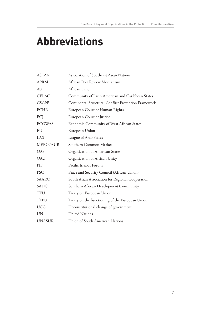# <span id="page-6-0"></span>**Abbreviations**

| <b>ASEAN</b>    | Association of Southeast Asian Nations               |  |  |  |
|-----------------|------------------------------------------------------|--|--|--|
| <b>APRM</b>     | African Peer Review Mechanism                        |  |  |  |
| AU              | African Union                                        |  |  |  |
| <b>CELAC</b>    | Community of Latin American and Caribbean States     |  |  |  |
| <b>CSCPF</b>    | Continental Structural Conflict Prevention Framework |  |  |  |
| <b>ECHR</b>     | European Court of Human Rights                       |  |  |  |
| ECJ             | European Court of Justice                            |  |  |  |
| <b>ECOWAS</b>   | Economic Community of West African States            |  |  |  |
| EU              | European Union                                       |  |  |  |
| LAS             | League of Arab States                                |  |  |  |
| <b>MERCOSUR</b> | Southern Common Market                               |  |  |  |
| <b>OAS</b>      | Organization of American States                      |  |  |  |
| OAU             | Organization of African Unity                        |  |  |  |
| PIF             | Pacific Islands Forum                                |  |  |  |
| <b>PSC</b>      | Peace and Security Council (African Union)           |  |  |  |
| <b>SAARC</b>    | South Asian Association for Regional Cooperation     |  |  |  |
| SADC            | Southern African Development Community               |  |  |  |
| TEU             | Treaty on European Union                             |  |  |  |
| <b>TFEU</b>     | Treaty on the functioning of the European Union      |  |  |  |
| <b>UCG</b>      | Unconstitutional change of government                |  |  |  |
| <b>UN</b>       | <b>United Nations</b>                                |  |  |  |
| <b>UNASUR</b>   | Union of South American Nations                      |  |  |  |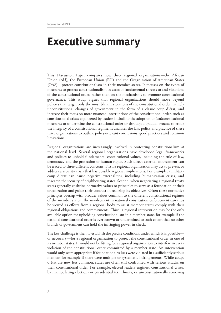# <span id="page-7-0"></span>**Executive summary**

This Discussion Paper compares how three regional organizations—the African Union (AU), the European Union (EU) and the Organization of American States (OAS)—protect constitutionalism in their member states. It focuses on the types of measures to protect constitutionalism in cases of fundamental threats to and violations of the constitutional order, rather than on the mechanisms to promote constitutional governance. This study argues that regional organizations should move beyond policies that target only the most blatant violations of the constitutional order, namely unconstitutional changes of government in the form of a classic coup d'état, and increase their focus on more nuanced interruptions of the constitutional order, such as constitutional crises engineered by leaders including the adoption of (un)constitutional measures to undermine the constitutional order or through a gradual process to erode the integrity of a constitutional regime. It analyses the law, policy and practice of these three organizations to outline policy-relevant conclusions, good practices and common limitations.

Regional organizations are increasingly involved in protecting constitutionalism at the national level. Several regional organizations have developed legal frameworks and policies to uphold fundamental constitutional values, including the rule of law, democracy and the protection of human rights. Such direct external enforcement can be traced to three different concerns. First, a regional organization may act to prevent or address a security crisis that has possible regional implications. For example, a military coup d'état can cause negative externalities, including humanitarian crises, and threaten the security of neighbouring states. Second, when negotiating a regional treaty states generally enshrine normative values or principles to serve as a foundation of their organization and guide their conduct in realizing its objectives. Often these normative principles overlap with broader values common to the different constitutional regimes of the member states. The involvement in national constitution enforcement can thus be viewed as efforts from a regional body to assist member states comply with their regional obligations and commitments. Third, a regional intervention may be the only available option for upholding constitutionalism in a member state, for example if the national constitutional order is overthrown or undermined to such extent that no other branch of government can hold the infringing power in check.

The key challenge is then to establish the precise conditions under which it is possible or necessary—for a regional organization to protect the constitutional order in one of its member states. It would not be fitting for a regional organization to interfere in every violation of the constitutional order committed by a member state. An intervention would only seem appropriate if foundational values were violated in a sufficiently serious manner, for example if there were multiple or systematic infringements. While coups d'état are now less common, states are often still confronted with serious attacks on their constitutional order. For example, elected leaders engineer constitutional crises, by manipulating elections or presidential term limits, or unconstitutionally removing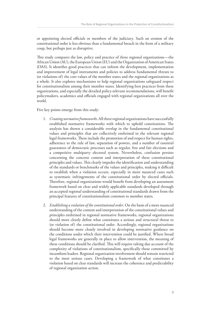or appointing elected officials or members of the judiciary. Such an erosion of the constitutional order is less obvious than a fundamental breach in the form of a military coup, but perhaps just as disruptive.

This study compares the law, policy and practice of three regional organizations—the African Union (AU), the European Union (EU) and the Organization of American States (OAS). It identifies good practices that can inform the development, implementation and improvement of legal instruments and policies to address fundamental threats to (or violations of) the core values of the member states and the regional organizations as a whole. It also explores mechanisms to help regional organizations safeguard respect for constitutionalism among their member states. Identifying best practices from these organizations, and especially the detailed policy-relevant recommendations, will benefit policymakers, academics and officials engaged with regional organizations all over the world.

Five key points emerge from this study:

- 1. *Creating normative frameworks*. All three regional organizations have successfully established normative frameworks with which to uphold constitutions. The analysis has shown a considerable overlap in the fundamental constitutional values and principles that are collectively enshrined in the relevant regional legal frameworks. These include the promotion of and respect for human rights, adherence to the rule of law, separation of powers, and a number of essential guarantees of democratic processes such as regular, free and fair elections and a competitive multiparty electoral system. Nevertheless, confusion persists concerning the concrete content and interpretation of these constitutional principles and values. This clearly impedes the identification and understanding of the standards or benchmarks of the values and principles, making it difficult to establish when a violation occurs, especially in more nuanced cases such as systematic infringements of the constitutional order by elected officials. Therefore, regional organizations would benefit from developing an assessment framework based on clear and widely applicable standards developed through an accepted regional understanding of constitutional standards drawn from the principal features of constitutionalism common to member states.
- 2. *Establishing a violation of the constitutional order*. On the basis of a more nuanced understanding of the content and interpretation of the constitutional values and principles enshrined in regional normative frameworks, regional organizations should more clearly define what constitutes a serious and structural threat to (or violation of) the constitutional order. Accordingly, regional organizations should become more closely involved in developing normative guidance on the conditions under which their intervention could be justified. Where broad legal frameworks are generally in place to allow intervention, the meaning of these conditions should be clarified. This will require taking due account of the complexity of violations of constitutionalism, specifically those committed by incumbent leaders. Regional organization involvement should remain restricted to the most serious cases. Developing a framework of what constitutes a violation based on clear standards will increase the coherence and predictability of regional organization action.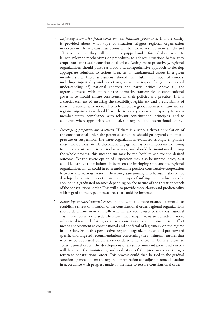- 3. *Enforcing normative frameworks on constitutional governance*. If more clarity is provided about what type of situation triggers regional organization involvement, the relevant institutions will be able to act in a more timely and effective manner. They will be better equipped and informed about when to launch relevant mechanisms or procedures to address situations before they erupt into larger-scale constitutional crises. Acting more proactively, regional organizations should pursue a broad and comprehensive approach to develop appropriate solutions to serious breaches of fundamental values in a given member state. These assessments should then fulfil a number of criteria, including impartiality and objectivity, as well as respect for (and a detailed understanding of) national contexts and particularities. Above all, the organs entrusted with enforcing the normative frameworks on constitutional governance should ensure consistency in their policies and practice. This is a crucial element of ensuring the credibility, legitimacy and predictability of their interventions. To more effectively enforce regional normative frameworks, regional organizations should have the necessary access and capacity to assess member states' compliance with relevant constitutional principles, and to cooperate where appropriate with local, sub-regional and international actors.
- 4. *Developing proportionate sanctions*. If there is a serious threat or violation of the constitutional order, the potential sanctions should go beyond diplomatic pressure or suspension. The three organizations evaluated strongly emphasize these two options. While diplomatic engagement is very important for trying to remedy a situation in an inclusive way, and should be maintained during the whole process, this mechanism may be too 'soft' to achieve the desired outcome. Yet the severe option of suspension may also be unproductive, as it could jeopardize the relationship between the infringing state and the regional organization, which could in turn undermine possible constructive cooperation between the various actors. Therefore, sanctioning mechanisms should be developed that are proportionate to the type of infringement, which can be applied in a graduated manner depending on the nature of the threat or breach of the constitutional order. This will also provide more clarity and predictability with regard to the type of measures that could be imposed.
- 5. *Returning to constitutional order*. In line with the more nuanced approach to establish a threat or violation of the constitutional order, regional organizations should determine more carefully whether the root causes of the constitutional crisis have been addressed. Therefore, they might want to consider a more substantial test in declaring a return to constitutional order, since this in effect means endorsement as constitutional and conferral of legitimacy on the regime in question. From this perspective, regional organizations should put forward specific and targeted recommendations concerning the minimum features that need to be addressed before they decide whether there has been a return to constitutional order. The development of these recommendations and criteria will facilitate the monitoring and evaluation of the processes concerning a return to constitutional order. This process could then be tied to the gradual sanctioning mechanism: the regional organization can adjust its remedial action in accordance with progress made by the state to restore constitutional order.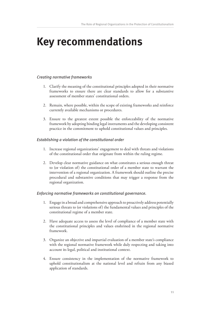# <span id="page-10-0"></span>**Key recommendations**

#### Creating normative frameworks

- 1. Clarify the meaning of the constitutional principles adopted in their normative frameworks to ensure there are clear standards to allow for a substantive assessment of member states' constitutional orders.
- 2. Remain, where possible, within the scope of existing frameworks and reinforce currently available mechanisms or procedures.
- 3. Ensure to the greatest extent possible the enforceability of the normative framework by adopting binding legal instruments and the developing consistent practice in the commitment to uphold constitutional values and principles.

#### Establishing a violation of the constitutional order

- 1. Increase regional organizations' engagement to deal with threats and violations of the constitutional order that originate from within the ruling regime.
- 2. Develop clear normative guidance on what constitutes a serious enough threat to (or violation of) the constitutional order of a member state to warrant the intervention of a regional organization. A framework should outline the precise procedural and substantive conditions that may trigger a response from the regional organization.

#### Enforcing normative frameworks on constitutional governance.

- 1. Engage in a broad and comprehensive approach to proactively address potentially serious threats to (or violations of) the fundamental values and principles of the constitutional regime of a member state.
- 2. Have adequate access to assess the level of compliance of a member state with the constitutional principles and values enshrined in the regional normative framework.
- 3. Organize an objective and impartial evaluation of a member state's compliance with the regional normative framework while duly respecting and taking into account its legal, political and institutional context.
- 4. Ensure consistency in the implementation of the normative framework to uphold constitutionalism at the national level and refrain from any biased application of standards.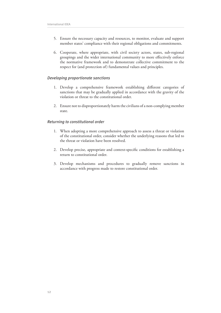- 5. Ensure the necessary capacity and resources, to monitor, evaluate and support member states' compliance with their regional obligations and commitments.
- 6. Cooperate, where appropriate, with civil society actors, states, sub-regional groupings and the wider international community to more effectively enforce the normative framework and to demonstrate collective commitment to the respect for (and protection of) fundamental values and principles.

#### Developing proportionate sanctions

- 1. Develop a comprehensive framework establishing different categories of sanctions that may be gradually applied in accordance with the gravity of the violation or threat to the constitutional order.
- 2. Ensure not to disproportionately harm the civilians of a non-complying member state.

#### Returning to constitutional order

- 1. When adopting a more comprehensive approach to assess a threat or violation of the constitutional order, consider whether the underlying reasons that led to the threat or violation have been resolved.
- 2. Develop precise, appropriate and context-specific conditions for establishing a return to constitutional order.
- 3. Develop mechanisms and procedures to gradually remove sanctions in accordance with progress made to restore constitutional order.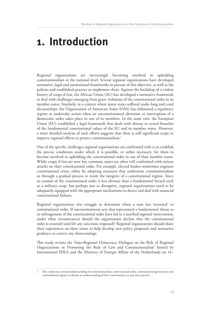# <span id="page-12-0"></span>**1. Introduction**

Regional organizations are increasingly becoming involved in upholding constitutionalism at the national level. Several regional organizations have developed normative, legal and institutional frameworks in pursuit of this objective, as well as the policies and established practice to implement them. Against the backdrop of a violent history of coups d'état, the African Union (AU) has developed a normative framework to deal with challenges emerging from grave violations of the constitutional order in its member states. Similarly, in a context where many states suffered under long and cruel dictatorships, the Organization of American States (OAS) has elaborated a regulatory regime to undertake action when an unconstitutional alteration or interruption of a democratic order takes place in one of its members. In the same vein, the European Union (EU) established a legal framework that deals with threats or actual breaches of the fundamental constitutional values of the EU and its member states. However, a more detailed analysis of such efforts suggests that there is still significant scope to improve regional efforts to protect constitutionalism.<sup>1</sup>

One of the specific challenges regional organisations are confronted with is to establish the precise conditions under which it is possible, or rather necessary, for them to become involved in upholding the constitutional order in one of their member states. While coups d'état are now less common, states are often still confronted with serious attacks on their constitutional order. For example, elected leaders sometimes engineer constitutional crises, either by adopting measures that undermine constitutionalism or through a gradual process to erode the integrity of a constitutional regime. Since an erosion of the constitutional order is less obvious than a fundamental breach such as a military coup, but perhaps just as disruptive, regional organizations need to be adequately equipped with the appropriate mechanisms to detect and deal with nuanced constitutional failures.

Regional organizations also struggle to determine when a state has 'returned' to constitutional order. If unconstitutional acts that represented a fundamental threat to or infringement of the constitutional order have led to a justified regional intervention, under what circumstances should the organization declare that the constitutional order is restored (and lift any sanctions imposed)? Regional organizations should share their experiences on these issues to help develop new policy proposals and normative guidance to correct any shortcomings.

This study revisits the 'Inter-Regional Democracy Dialogue on the Role of Regional Organizations in Promoting the Rule of Law and Constitutionalism' hosted by International IDEA and the Ministry of Foreign Affairs of the Netherlands on 14–

<sup>1</sup> This study uses a broad understanding of constitutionalism, constitutional order, constitutional governance and constitutional regime to denote an understanding of how constitutions are put into practice.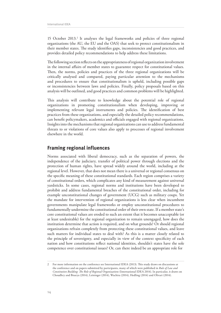15 October 2013.<sup>2</sup> It analyses the legal frameworks and policies of three regional organizations (the AU, the EU and the OAS) that seek to protect constitutionalism in their member states. The study identifies gaps, inconsistencies and good practices, and provides detailed policy recommendations to help address these limitations.

The following section reflects on the appropriateness of regional organization involvement in the internal affairs of member states to guarantee respect for constitutional values. Then, the norms, policies and practices of the three regional organizations will be critically analysed and compared, paying particular attention to the mechanisms and procedures to ensure that constitutionalism is upheld, including possible gaps or inconsistencies between laws and policies. Finally, policy proposals based on this analysis will be outlined, and good practices and common problems will be highlighted.

This analysis will contribute to knowledge about the potential role of regional organizations in promoting constitutionalism when developing, improving or implementing relevant legal instruments and policies. The identification of best practices from these organizations, and especially the detailed policy recommendations, can benefit policymakers, academics and officials engaged with regional organizations. Insights into the mechanisms that regional organizations can use to address fundamental threats to or violations of core values also apply to processes of regional involvement elsewhere in the world.

### **Framing regional influences**

Norms associated with liberal democracy, such as the separation of powers, the independence of the judiciary, transfer of political power through elections and the protection of human rights, have spread widely around the world, including at the regional level. However, that does not mean there is a universal or regional consensus on the specific meaning of these constitutional standards. Each region comprises a variety of constitutional orders, which complicates any kind of measurement against universal yardsticks. In some cases, regional norms and institutions have been developed to prohibit and address fundamental breaches of the constitutional order, including for example unconstitutional changes of government (UCG) such as military coups. Yet the mandate for intervention of regional organizations is less clear when incumbent governments manipulate legal frameworks or employ unconstitutional procedures to fundamentally undermine the constitutional order of their own state. If a member state's core constitutional values are eroded to such an extent that it becomes unacceptable (or at least undesirable) for the regional organization to remain unengaged, how does the institution determine that action is required, and on what grounds? Or should regional organizations refrain completely from protecting these constitutional values, and leave such matters for individual states to deal with? As this is a matter closely related to the principle of sovereignty, and especially in view of the context specificity of each nation and how constitutions reflect national identities, shouldn't states have the sole competence over constitutional issues? Or, can there indeed be an appropriate role for

<sup>2</sup> For more information on the conference see International IDEA (2013). This study draws on discussions at the conference and on papers submitted by participants, many of which were published in *Rule of Law and Constitution Building: The Role of Regional Organizations* (International IDEA 2014). In particular, it draws on Choudhry and Bisarya (2014), Leininger (2014), Wachira (2014), Hedling (2014) and Olivari (2014).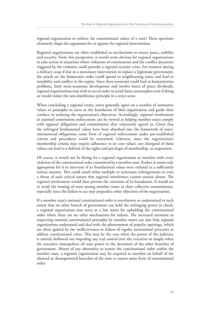regional organization to enforce the constitutional values of a state? These questions ultimately shape the arguments for or against the regional interventions.

Regional organizations are often established as mechanisms to ensure peace, stability and security. From this perspective, it would seem obvious for regional organizations to take action in situations where violations of constitutions and the conflict dynamics triggered by the violation could provoke a regional security crisis. For instance during a military coup d'état or a mercenary intervention to replace a legitimate government, the attack on the democratic order could spread to neighbouring states and lead to instability and conflict in the region. Since these scenarios could lead to humanitarian problems, limit socio-economic development and involve losses of peace dividends, regional organizations may wish to act in order to avoid these catastrophes even if doing so would violate the non-interference principle in a strict sense.

When concluding a regional treaty, states generally agree on a number of normative values or principles to serve as the foundation of their organization and guide their conduct in realizing the organization's objectives. Accordingly, regional involvement in national constitution enforcement can be viewed as helping member states comply with regional obligations and commitments they voluntarily agreed to. Given that the infringed fundamental values have been absorbed into the framework of states' international obligations, some form of regional enforcement under pre-established criteria and procedures could be warranted. Likewise, since the organization's membership criteria may require adherence to its core values, any disregard of these values can lead to a deferral of the rights and privileges of membership, or suspension.

Of course, it would not be fitting for a regional organization to interfere with every violation of the constitutional order committed by a member state. Rather, it seems only appropriate for it to intervene if its foundational values were violated in a sufficiently serious manner. This could entail either multiple or systematic infringements or even a threat of such critical nature that regional interference cannot remain absent. The regional involvement would then prevent the corrosion of its foundation. It would act to avoid the waning of trust among member states in their collective commitments, especially since the failure to act may jeopardize other objectives of the organization.

If a member state's national constitutional order is overthrown or undermined to such extent that no other branch of government can hold the infringing power in check, a regional organization may serve as a last resort for upholding the constitutional order where there are no other mechanisms for redress. The increased attention to respecting essential constitutional principles by member states can also help regional organizations understand and deal with the phenomenon of popular uprisings, which are often ignited by the ineffectiveness or failure of regular institutional processes to address constitutional crises. This may be the case when the power of the judiciary is entirely hollowed out impeding any real control over the executive or simply when the executive monopolizes all state power to the detriment of the other branches of government. Absent of any alternative to restore the constitutional order within the member state, a regional organization may be required to interfere on behalf of the silenced or disempowered branches of the state to ensure some form of constitutional order.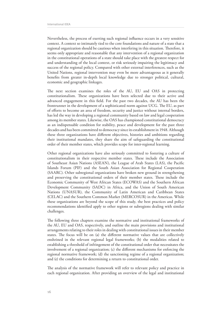Nevertheless, the process of exerting such regional influence occurs in a very sensitive context. A context so intimately tied to the core foundations and nature of a state that a regional organization should be cautious when interfering in this situation. Therefore, it seems only appropriate and reasonable that any intervention of a regional organization in the constitutional operations of a state should take place with the greatest respect for and understanding of the local context, or risk seriously impairing the legitimacy and success of the regional policy. Compared with other external interferences, such as the United Nations, regional intervention may even be more advantageous as it generally benefits from greater in-depth local knowledge due to stronger political, cultural, economic and geographic linkages.

The next section examines the roles of the AU, EU and OAS in protecting constitutionalism. These organizations have been selected due to their active and advanced engagement in this field. For the past two decades, the AU has been the frontrunner in the development of a sophisticated norm against UCG. The EU, as part of efforts to become an area of freedom, security and justice without internal borders, has led the way in developing a regional community based on law and legal cooperation among its member states. Likewise, the OAS has championed constitutional democracy as an indispensable condition for stability, peace and development for the past three decades and has been committed to democracy since its establishment in 1948. Although these three organizations have different objectives, histories and ambitions regarding their institutional mandates, they share the aim of safeguarding the constitutional order of their member states, which provides scope for inter-regional learning.

Other regional organizations have also seriously committed to fostering a culture of constitutionalism in their respective member states. These include the Association of Southeast Asian Nations (ASEAN), the League of Arab States (LAS), the Pacific Islands Forum (PIF) and the South Asian Association for Regional Cooperation (SAARC). Other subregional organizations have broken new ground in strengthening and preserving the constitutional orders of their member states. These include the Economic Community of West African States (ECOWAS) and the Southern African Development Community (SADC) in Africa, and the Union of South American Nations (UNASUR), the Community of Latin American and Caribbean States (CELAC) and the Southern Common Market (MERCOSUR) in the Americas. While these organizations are beyond the scope of this study, the best practices and policy recommendations identified apply to other regions or subregions dealing with similar challenges.

The following three chapters examine the normative and institutional frameworks of the AU, EU and OAS, respectively, and outline the main provisions and institutional arrangements relating to their roles in dealing with constitutional issues in their member states. The focus will be on (a) the different normative values that are collectively enshrined in the relevant regional legal frameworks; (b) the modalities related to establishing a threshold of infringement of the constitutional order that necessitates the involvement of a regional organization; (c) the different mechanisms for enforcing the regional normative framework; (d) the sanctioning regime of a regional organization; and (e) the conditions for determining a return to constitutional order.

The analysis of the normative framework will refer to relevant policy and practice in each regional organization. After providing an overview of the legal and institutional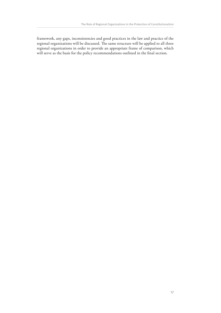framework, any gaps, inconsistencies and good practices in the law and practice of the regional organizations will be discussed. The same structure will be applied to all three regional organizations in order to provide an appropriate frame of comparison, which will serve as the basis for the policy recommendations outlined in the final section.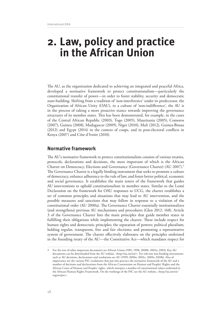# <span id="page-17-0"></span>**2. Law, policy and practice in the African Union**

The AU, as the organization dedicated to achieving an integrated and peaceful Africa, developed a normative framework to protect constitutionalism—particularly the constitutional transfer of power—in order to foster stability, security and democratic state-building. Shifting from a tradition of 'non-interference' under its predecessor, the Organization of African Unity (OAU), to a culture of 'non-indifference', the AU is in the process of taking a more proactive stance towards improving the governance structures of its member states. This has been demonstrated, for example, in the cases of the Central African Republic (2003), Togo (2005), Mauritania (2005), Comoros (2007), Guinea (2008), Madagascar (2009), Niger (2010), Mali (2012), Guinea-Bissau (2012) and Egypt (2014) in the context of coups, and in post-electoral conflicts in Kenya (2007) and Côte d'Ivoire (2010).

### **Normative framework**

The AU's normative framework to protect constitutionalism consists of various treaties, protocols, declarations and decisions, the most important of which is the African Charter on Democracy, Elections and Governance (Governance Charter) (AU 2007).3 The Governance Charter is a legally binding instrument that seeks to promote a culture of democracy, enhance adherence to the rule of law, and foster better political, economic and social governance. It establishes the main tenets of the framework that guides AU interventions to uphold constitutionalism in member states. Similar to the Lomé Declaration on the framework for OAU responses to UCG, the charter establishes a set of common principles and situations that may lead to AU intervention, and the possible measures and sanctions that may follow in response to a violation of the constitutional order (AU 2000a). The Governance Charter essentially institutionalizes (and strengthens) previous AU mechanisms and procedures (Glen 2012: 168). Article 3 of the Governance Charter lists the main principles that guide member states in fulfilling their obligations while implementing the charter. These include respect for human rights and democratic principles; the separation of powers; political pluralism; holding regular, transparent, free and fair elections; and promoting a representative system of government. The charter effectively elaborates on the principles enshrined in the founding treaty of the AU—the Constitutive Act—which mandates respect for

<sup>3</sup> For the text of other important documents see African Union (1981; 1998; 2000b; 2002a; 2003). Key AU documents can be downloaded from the AU website, <http://au.int/en/>. For relevant non-binding instruments such as AU decisions, declarations and resolutions see AU (1999; 2000a; 2002c; 2009e; 2010b). Also of importance are the various PSC resolutions that put into practice the normative framework of the AU and a number of decisions and declarations from the African Commission on Human and Peoples' Rights and the African Court of Human and Peoples' rights, which interpret a number of constitutional values enshrined in the African Human Rights Framework. On the workings of the PSC see the AU website, <http://au.int/en/ organs/psc>.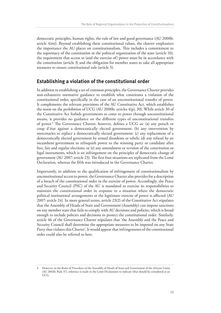democratic principles, human rights, the rule of law and good governance (AU 2000b: article 4(m)). Beyond establishing these constitutional values, the charter emphasizes the importance the AU places on constitutionalism. This includes a commitment to the supremacy of the constitution in the political organization of the state (article 10), the requirement that access to (and the exercise of) power must be in accordance with the constitution (article 3) and the obligation for member states to take all appropriate measures to ensure constitutional rule (article 5).

# **Establishing a violation of the constitutional order**

In addition to establishing a set of common principles, the Governance Charter provides non-exhaustive normative guidance to establish what constitutes a violation of the constitutional order, specifically in the case of an unconstitutional transfer of power. It complements the relevant provisions of the AU Constitutive Act, which establishes the norm on the prohibition of UCG (AU 2000b: articles 4(p), 30). While article 30 of the Constitutive Act forbids governments to come to power through unconstitutional means, it provides no guidance on the different types of unconstitutional transfers of power.4 The Governance Charter, however, defines a UCG as: (a) any putsch or coup d'état against a democratically elected government; (b) any intervention by mercenaries to replace a democratically elected government; (c) any replacement of a democratically elected government by armed dissidents or rebels; (d) any refusal by an incumbent government to relinquish power to the winning party or candidate after free, fair and regular elections; or (e) any amendment or revision of the constitution or legal instruments, which is an infringement on the principles of democratic change of government (AU 2007: article 23). The first four situations are replicated from the Lomé Declaration, whereas the fifth was introduced in the Governance Charter.

Importantly, in addition to the qualification of infringement of constitutionalism by unconstitutional access to power, the Governance Charter also provides for a description of a breach of the constitutional order in the exercise of power. Accordingly, the Peace and Security Council (PSC) of the AU is mandated to exercise its responsibilities to maintain the constitutional order in response to a situation where the democratic political institutional arrangements or the legitimate exercise of power is affected (AU 2007: article 24). In more general terms, article 23(2) of the Constitutive Act stipulates that the Assembly of Heads of State and Government (Assembly) can impose sanctions on any member state that fails to comply with AU decisions and policies, which is broad enough to include policies and decisions to protect the constitutional order. Similarly, article 46 of the Governance Charter stipulates that 'the Assembly and the Peace and Security Council shall determine the appropriate measures to be imposed on any State Party that violates this Charter'. It would appear that infringements of the constitutional order could also be referred to here.

<sup>4</sup> However, in the Rules of Procedure of the Assembly of Heads of State and Government of the African Union (AU 2002b: Rule 37), reference is made to the Lomé Declaration to indicate what should be considered as an UCG.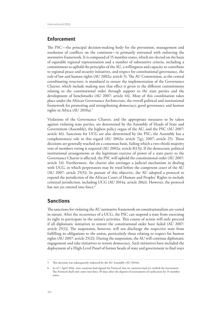### **Enforcement**

The PSC—the principal decision-making body for the prevention, management and resolution of conflicts on the continent—is primarily entrusted with enforcing the normative framework. It is composed of 15 member states, which are elected on the basis of equitable regional representation and a number of substantive criteria, including a commitment to uphold the principles of the AU, a willingness and capacity to contribute to regional peace and security initiatives, and respect for constitutional governance, the rule of law and human rights (AU 2002a: article 5). The AU Commission, as the central coordinating structure, is mandated to ensure the implementation of the Governance Charter, which include making sure that effect is given to the different commitments relating to the constitutional order through support to the state parties and the development of benchmarks (AU 2007: article 44). Most of this coordination takes place under the African Governance Architecture, the overall political and institutional framework for promoting and strengthening democracy, good governance and human rights in Africa (AU 2010a).<sup>5</sup>

Violations of the Governance Charter, and the appropriate measures to be taken against violating state parties, are determined by the Assembly of Heads of State and Government (Assembly), the highest policy organ of the AU, and the PSC (AU 2007: article 46). Sanctions for UCG are also determined by the PSC; the Assembly has a complementary role in this regard (AU 2002a: article 7(g), 2007: article 25). These decisions are generally reached on a consensus basis, failing which a two-thirds majority vote of members voting is required (AU 2002a: article 8(13)). If the democratic political institutional arrangements or the legitimate exercise of power of a state party to the Governance Charter is affected, the PSC will uphold the constitutional order (AU 2007: article 24). Furthermore, the charter also envisages a judicial mechanism in dealing with UCG, in which perpetrators may be tried before the competent court of the AU (AU 2007: article 25(5)). In pursuit of this objective, the AU adopted a protocol to expand the jurisdiction of the African Court of Human and Peoples' Rights to include criminal jurisdiction, including UCG (AU 2014a: article 28(e)). However, the protocol has not yet entered into force.<sup>6</sup>

### **Sanctions**

The sanctions for violating the AU normative framework on constitutionalism are varied in nature. After the occurrence of a UCG, the PSC can suspend a state from exercising its right to participate in the union's activities. This course of action will only proceed if all diplomatic initiatives to restore the constitutional order have failed (AU 2007: article 25(1)). The suspension, however, will not discharge the respective state from fulfilling its obligations to the union, particularly those relating to respect for human rights (AU 2007: article 25(2)). During the suspension, the AU will continue diplomatic engagement and take initiatives to restore democracy. Such initiatives have included the deployment of a High-Level Panel of former heads of state and government to find ways

<sup>5</sup> This decision was subsequently endorsed by the AU Assembly (AU 2010e).

<sup>6</sup> As of 1 April 2016, nine countries had signed the Protocol, but no countries had yet ratified the instrument. The Protocol shall only enter into force 30 days after the deposit of instruments of ratification by 15 member states.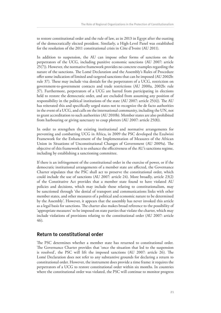to restore constitutional order and the rule of law, as in 2013 in Egypt after the ousting of the democratically elected president. Similarly, a High-Level Panel was established for the resolution of the 2011 constitutional crisis in Côte d'Ivoire (AU 2011).

In addition to suspension, the AU can impose other forms of sanctions on the perpetrators of the UCG, including punitive economic sanctions (AU 2007: article 25(7)). However, the normative framework provides no concrete examples regarding the nature of the sanctions. The Lomé Declaration and the Assembly's Rules of Procedure offer some indication of limited and targeted sanctions that can be imposed (AU 2002b: rule 37). These may include visa denials for the perpetrators of a UCG, restriction on government-to-government contacts and trade restrictions (AU 2000a, 2002b: rule 37). Furthermore, perpetrators of a UCG are barred from participating in elections held to restore the democratic order, and are excluded from assuming any position of responsibility in the political institutions of the state (AU 2007: article 25(4)). The AU has reiterated this and specifically urged states not to recognize the de facto authorities in the event of a UCG, and calls on the international community, including the UN, not to grant accreditation to such authorities (AU 2010b). Member states are also prohibited from harbouring or giving sanctuary to coup plotters (AU 2007: article 25(8)).

In order to strengthen the existing institutional and normative arrangements for preventing and combatting UCG in Africa, in 2009 the PSC developed the Ezulwini Framework for the Enhancement of the Implementation of Measures of the African Union in Situations of Unconstitutional Changes of Government (AU 2009a). The objective of this framework is to enhance the effectiveness of the AU's sanctions regime, including by establishing a sanctioning committee.

If there is an infringement of the constitutional order in the exercise of power, or if the democratic institutional arrangements of a member state are affected, the Governance Charter stipulates that the PSC shall act to preserve the constitutional order, which could include the use of sanctions (AU 2007: article 24). More broadly, article 23(2) of the Constitutive Act provides that a member state found to have violated AU policies and decisions, which may include those relating to constitutionalism, may be sanctioned through 'the denial of transport and communications links with other member states, and other measures of a political and economic nature to be determined by the Assembly'. However, it appears that the assembly has never invoked this article as a legal basis for sanctions. The charter also makes broad reference to the possibility of 'appropriate measures' to be imposed on state parties that violate the charter, which may include violations of provisions relating to the constitutional order (AU 2007: article 46).

# **Return to constitutional order**

The PSC determines whether a member state has returned to constitutional order. The Governance Charter provides that 'once the situation that led to the suspension is resolved', the PSC will lift the imposed sanctions (AU 2007: article 26). The Lomé Declaration does not refer to any substantive grounds for declaring a return to constitutional order. However, the instrument does provide a time frame: it requires the perpetrators of a UCG to restore constitutional order within six months. In countries where the constitutional order was violated, the PSC will continue to monitor progress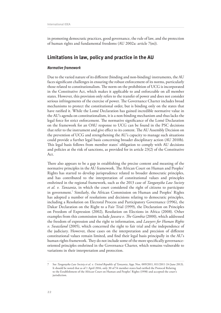in promoting democratic practices, good governance, the rule of law, and the protection of human rights and fundamental freedoms (AU 2002a: article 7(m)).

### **Limitations in law, policy and practice in the AU**

#### *Normative framework*

Due to the varied nature of its different (binding and non-binding) instruments, the AU faces significant challenges in ensuring the robust enforcement of its norms, particularly those related to constitutionalism. The norm on the prohibition of UCG is incorporated in the Constitutive Act, which makes it applicable to and enforceable on all member states. However, this provision only refers to the transfer of power and does not consider serious infringements of the exercise of power. The Governance Charter includes broad mechanisms to protect the constitutional order, but is binding only on the states that have ratified it. While the Lomé Declaration has gained incredible normative value in the AU's agenda on constitutionalism, it is a non-binding mechanism and thus lacks the legal force for strict enforcement. The normative significance of the Lomé Declaration on the framework for an OAU response to UCG can be found in the PSC decisions that refer to the instrument and give effect to its content. The AU Assembly Decision on the prevention of UCG and strengthening the AU's capacity to manage such situations could provide a further legal basis concerning broader disciplinary action (AU 2010b). This legal basis follows from member states' obligation to comply with AU decisions and policies at the risk of sanctions, as provided for in article 23(2) of the Constitutive Act.

There also appears to be a gap in establishing the precise content and meaning of the normative principles in the AU framework. The African Court on Human and Peoples' Rights has started to develop jurisprudence related to broader democratic principles, and has contributed to the interpretation of constitutional values and principles enshrined in the regional framework, such as the 2013 case of *Tanganyika Law Society et al. v. Tanzania*, in which the court considered the right of citizens to participate in government.<sup>7</sup> Similarly, the African Commission on Human and Peoples' Rights has adopted a number of resolutions and decisions relating to democratic principles, including a Resolution on Electoral Process and Participatory Governance (1996), the Dakar Declaration on the Right to a Fair Trial (1999), the Declaration on Principles on Freedom of Expression (2002), Resolution on Elections in Africa (2008). Other examples from this commission include *Jawara v. The Gambia* (2000), which addressed the freedom of expression and the right to information, and *Lawyers for Human Rights v. Swaziland* (2005), which concerned the right to fair trial and the independence of the judiciary. However, these cases on the interpretation and precision of different constitutional values remain limited, and find their legal basis principally in the AU's human rights framework. They do not include some of the more specifically governanceoriented principles enshrined in the Governance Charter, which remains vulnerable to variations in their interpretation and protection.

<sup>7</sup> See *Tanganyika Law Society et al. v. United Republic of Tanzania*, App. Nos. 009/2011, 011/2011 (14 June 2013). It should be noted that as of 1 April 2016, only 30 of 54 member states had ratified the Protocol Relating to the Establishment of the African Court on Human and Peoples' Rights (1998) and accepted the court's jurisdiction.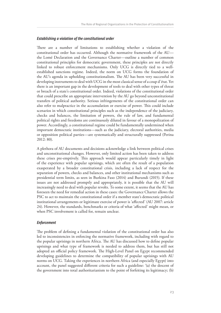#### *Establishing a violation of the constitutional order*

There are a number of limitations to establishing whether a violation of the constitutional order has occurred. Although the normative framework of the AU the Lomé Declaration and the Governance Charter—outline a number of common constitutional principles for democratic government, these principles are not directly linked to robust enforcement mechanisms. Only UCG is directly tied to a wellestablished sanctions regime. Indeed, the norm on UCG forms the foundation of the AU's agenda in upholding constitutionalism. The AU has been very successful in developing instruments to deal with UCG in the most classical sense of a coup d'état. Yet there is an important gap in the development of tools to deal with other types of threat or breach of a state's constitutional order. Indeed, violations of the constitutional order that could prescribe an appropriate intervention by the AU go beyond unconstitutional transfers of political authority. Serious infringements of the constitutional order can also refer to malpractice in the accumulation or exercise of power. This could include scenarios in which constitutional principles such as the independence of the judiciary, checks and balances, the limitation of powers, the rule of law, and fundamental political rights and freedoms are continuously diluted in favour of a monopolization of power. Accordingly, a constitutional regime could be fundamentally undermined when important democratic institutions—such as the judiciary, electoral authorities, media or opposition political parties—are systematically and structurally suppressed (Perina 2012: 80).

A plethora of AU documents and decisions acknowledge a link between political crises and unconstitutional changes. However, only limited action has been taken to address these crises pre-emptively. This approach would appear particularly timely in light of the experience with popular uprisings, which are often the result of a population exasperated by a broader constitutional crisis, including a lack of respect for the separation of powers, checks and balances, and other institutional mechanisms such as presidential term limits, as seen in Burkina Faso (2014) and Burundi (2015). If these issues are not addressed promptly and appropriately, it is possible that the AU will increasingly need to deal with popular revolts. To some extent, it seems that the AU has foreseen the need for remedial action in these cases: the Governance Charter allows the PSC to act to maintain the constitutional order if a member state's democratic political institutional arrangements or legitimate exercise of power is 'affected' (AU 2007: article 24). However, the standards, benchmarks or criteria of what 'affected' might mean, or when PSC involvement is called for, remain unclear.

#### *Enforcement*

The problem of defining a fundamental violation of the constitutional order has also led to inconsistencies in enforcing the normative framework, including with regard to the popular uprisings in northern Africa. The AU has discussed how to define popular uprisings and what type of framework is needed to address them, but has still not adopted an official policy framework. The High-Level Panel on Egypt recommended developing guidelines to determine the compatibility of popular uprisings with AU norms on UCG. Taking the experiences in northern Africa (and especially Egypt) into account, the panel suggested different criteria for such a guideline: '(a) the descent of the government into total authoritarianism to the point of forfeiting its legitimacy; (b)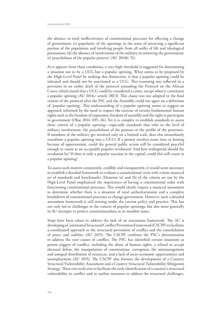the absence or total ineffectiveness of constitutional processes for effecting a change of government; (c) popularity of the uprisings in the sense of attracting a significant portion of the population and involving people from all walks of life and ideological persuasions; (d) the absence of involvement of the military in removing the government; (e) peacefulness of the popular protests' (AU 2014b: 31).

As it appears from these conditions, a very high threshold is suggested for determining a situation not to be a UCG but a popular uprising. What seems to be proposed by the High-Level Panel by making this distinction, is that a popular uprising could be tolerated and should not be sanctioned as a UCG. This reasoning was reflected in a provision in an earlier draft of the protocol amending the Protocol on the African Court, which stated that a UCG could be considered a crime, except when it constitutes a popular uprising (AU 2014c: article 28E3). This clause was not adopted in the final version of the protocol after the PSC and the Assembly could not agree on a definition of 'popular uprising'. This understanding of a popular uprising seems to suggest an approach informed by the need to respect the exercise of certain fundamental human rights such as the freedom of expression, freedom of assembly and the right to participate in government (Obse 2014: 835–36). Yet it is complex to establish standards to assess these criteria of a popular uprising—especially standards that refer to the level of military involvement, the peacefulness of the protests or the profile of the protesters. If members of the military get involved only on a limited scale, does this immediately transform a popular uprising into a UCG? If a protest involves some riots or looting because of opportunism, could the general public action still be considered peaceful enough to count as an acceptable popular revolution? And how widespread should the revolution be? If there is only a popular reaction in the capital, could this still count as a popular uprising?

To assess such matters consistently, credibly and transparently, it would seem necessary to establish a detailed framework to evaluate a constitutional crisis with a more nuanced set of standards and benchmarks. Elements (a) and (b) of the criteria set out by the High-Level Panel emphasized the importance of having a constitutional order with functioning constitutional processes. This would clearly require a nuanced assessment to determine whether there is a situation of total authoritarianism and a complete breakdown of constitutional processes to change government. However, such a detailed assessment framework is still missing under the current policy and practice. This has not only led to challenges in the context of popular uprisings, but also more generally in AU attempts to protect constitutionalism in its member states.

Steps have been taken to address the lack of an assessment framework. The AU is developing a Continental Structural Conflict Prevention Framework (CSCPF) to facilitate a coordinated approach to the structural prevention of conflict and the consolidation of peace and stability (AU 2015). The CSCPF confirms the PSC's determination to address the root causes of conflict. The PSC has identified certain situations as potent triggers of conflict, including the abuse of human rights, a refusal to accept electoral defeat, the manipulation of constitutions, corruption, the mismanagement and unequal distribution of resources, and a lack of socio-economic opportunities and unemployment (AU 2015). The CSCPF also foresees the development of a Country Structural Vulnerability Assessment and a Country Structural Vulnerability Mitigation Strategy. These two tools aim to facilitate the early identification of a country's structural vulnerability to conflict and to outline measures to address the structural challenges.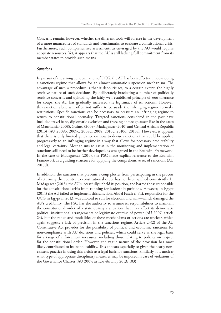Concerns remain, however, whether the different tools will foresee in the development of a more nuanced set of standards and benchmarks to evaluate a constitutional crisis. Furthermore, such comprehensive assessments as envisaged by the AU would require adequate resources. Yet, it appears that the AU is still lacking full commitment from its member states to provide such means.

#### *Sanctions*

In pursuit of the strong condemnation of UCG, the AU has been effective in developing a sanctions regime that allows for an almost automatic suspension mechanism. The advantage of such a procedure is that it depoliticizes, to a certain extent, the highly sensitive nature of such decisions. By deliberately bracketing a number of politically sensitive concerns and upholding the fairly well-established principle of zero tolerance for coups, the AU has gradually increased the legitimacy of its actions. However, this sanction alone will often not suffice to persuade the infringing regime to make restitutions. Specific sanctions can be necessary to pressure an infringing regime to return to constitutional normalcy. Targeted sanctions considered in the past have included travel bans, diplomatic exclusion and freezing of foreign assets like in the cases of Mauritania (2008), Guinea (2009), Madagascar (2010) and Central African Republic (2013) (AU 2009b, 2009c, 2009d, 2008, 2010c, 2010d, 2013a). However, it appears that there is only limited guidance on how to devise sanctions that could be applied progressively to an infringing regime in a way that allows for necessary predictability and legal certainty. Mechanisms to assist in the monitoring and implementation of sanctions still need to be further developed, as was agreed in the Ezulwini Framework. In the case of Madagascar (2010), the PSC made explicit reference to the Ezulwini Framework as a guiding structure for applying the comprehensive set of sanctions (AU 2010d).

In addition, the sanction that prevents a coup plotter from participating in the process of returning the country to constitutional order has not been applied consistently. In Madagascar (2013), the AU successfully upheld its position, and barred those responsible for the constitutional crisis from running for leadership positions. However, in Egypt (2014) the AU failed to implement this sanction. Abdel Fatah el-Sisi, responsible for the UCG in Egypt in 2013, was allowed to run for elections and win—which damaged the AU's credibility. The PSC has the authority to assume its responsibilities to maintain the constitutional order of a state during a situation that may affect its democratic political institutional arrangements or legitimate exercise of power (AU 2007: article 24), but the range and modalities of these mechanisms or actions are unclear, which again suggests a lack of precision in the sanctions regime. Article 23(2) of the AU Constitutive Act provides for the possibility of political and economic sanctions for non-compliance with AU decisions and policies, which could serve as the legal basis for a range of enforcement measures, including those relating to policies on respect for the constitutional order. However, the vague nature of the provision has most likely contributed to its inapplicability. This appears especially so given the nearly nonexistent practice in using this article as a legal basis for sanctions. Similarly, it is unclear what type of appropriate disciplinary measures may be imposed in case of violations of the Governance Charter (AU 2007: article 46; Elvy 2013: 103)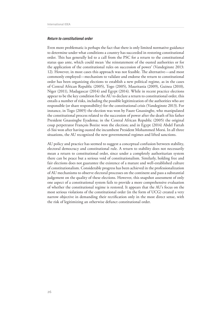#### *Return to constitutional order*

Even more problematic is perhaps the fact that there is only limited normative guidance to determine under what conditions a country has succeeded in restoring constitutional order. This has generally led to a call from the PSC for a return to the constitutional status quo ante, which could mean 'the reinstatement of the ousted authorities or for the application of the constitutional rules on succession of power' (Vandeginste 2013: 12). However, in most cases this approach was not feasible. The alternative—and most commonly employed—mechanism to validate and endorse the return to constitutional order has been organizing elections to establish a new political regime, as in the cases of Central African Republic (2005), Togo (2005), Mauritania (2009), Guinea (2010), Niger (2011), Madagascar (2014) and Egypt (2014). While in recent practice elections appear to be the key condition for the AU to declare a return to constitutional order, this entails a number of risks, including the possible legitimization of the authorities who are responsible (or share responsibility) for the constitutional crisis (Vandeginste 2013). For instance, in Togo (2005) the election was won by Faure Gnassingbe, who manipulated the constitutional process related to the succession of power after the death of his father President Gnassingbe Eyadema; in the Central African Republic (2005) the original coup perpetrator François Bozize won the election; and in Egypt (2014) Abdel Fattah el-Sisi won after having ousted the incumbent President Mohammed Morsi. In all three situations, the AU recognized the new governmental regimes and lifted sanctions.

AU policy and practice has seemed to suggest a conceptual confusion between stability, electoral democracy and constitutional rule. A return to stability does not necessarily mean a return to constitutional order, since under a completely authoritarian system there can be peace but a serious void of constitutionalism. Similarly, holding free and fair elections does not guarantee the existence of a mature and well-established culture of constitutionalism. Considerable progress has been achieved in the professionalization of AU mechanisms to observe electoral processes on the continent and pass a substantial judgement on the quality of these elections. However, this snapshot assessment of only one aspect of a constitutional system fails to provide a more comprehensive evaluation of whether the constitutional regime is restored. It appears that the AU's focus on the most serious violations of the constitutional order (in the form of UCG) created a very narrow objective in demanding their rectification only in the most direct sense, with the risk of legitimizing an otherwise defunct constitutional order.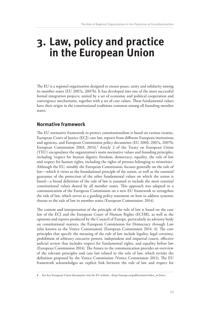# <span id="page-26-0"></span>**3. Law, policy and practice in the European Union**

The EU is a regional organization designed to ensure peace, unity and solidarity among its member states (EU 2007a, 2007b). It has developed into one of the most successful formal integration projects, united by a set of economic and political cooperation and convergence mechanisms, together with a set of core values. These fundamental values have their origin in the constitutional traditions common among all founding member states.

# **Normative framework**

The EU normative framework to protect constitutionalism is based on various treaties, European Court of Justice (ECJ) case law, reports from different European institutions and agencies, and European Commission policy documents (EU 2000, 2007a, 2007b; European Commission 2003, 2014).8 Article 2 of the Treaty on European Union (TEU) encapsulates the organization's main normative values and founding principles, including 'respect for human dignity, freedom, democracy, equality, the rule of law and respect for human rights, including the rights of persons belonging to minorities'. Although the EU, notably the European Commission, focuses generally on the rule of law—which it views as the foundational principle of the union, as well as the essential guarantee of the protection of the other fundamental values on which the union is based—a broad definition of the rule of law is assumed to include the most essential constitutional values shared by all member states. This approach was adopted in a communication of the European Commission on a new EU framework to strengthen the rule of law, which serves as a guiding policy statement on how to address systemic threats to the rule of law in member states (European Commission: 2014).

The content and interpretation of the principle of the rule of law is based on the case law of the ECJ and the European Court of Human Rights (ECHR), as well as the opinions and reports produced by the Council of Europe, particularly its advisory body on constitutional matters, the European Commission for Democracy through Law (also known as the Venice Commission) (European Commission 2014: 4). The core principles that specify the meaning of the rule of law include legality, legal certainty, prohibition of arbitrary executive powers, independent and impartial courts, effective judicial review that includes respect for fundamental rights, and equality before law (European Commission 2014). The Annex to the communication provides an overview of the relevant principles and case law related to the rule of law, which revisits the definition proposed by the Venice Commission (Venice Commission 2011). The EU framework acknowledges an explicit link between the rule of law and respect for

<sup>8</sup> For key European Union documents visit the EU website, <http://europa.eu/publications/index\_en.htm>.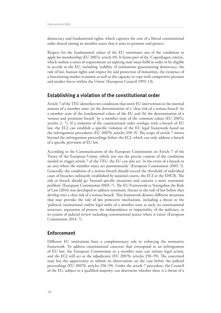democracy and fundamental rights, which captures the core of a liberal constitutional order shared among its member states that it aims to promote and protect.

Respect for the fundamental values of the EU constitutes one of the conditions to apply for membership (EU 2007a: article 49). It forms part of the 'Copenhagen criteria', which outline a series of requirements an aspiring state must fulfil in order to be eligible to accede to the EU, including 'stability of institutions guaranteeing democracy, the rule of law, human rights and respect for and protection of minorities, the existence of a functioning market economy as well as the capacity to cope with competitive pressure and market forces within the Union' (European Council 1993: 13).

### **Establishing a violation of the constitutional order**

Article 7 of the TEU identifies two conditions that merit EU intervention in the internal matters of a member state: (a) the determination of a 'clear risk of a serious breach' by a member state of the fundamental values of the EU and (b) the determination of a 'serious and persistent breach' by a member state of the common values (EU 2007a: articles 2, 7). If a violation of the constitutional order overlaps with a breach of EU law, the ECJ can establish a specific violation of the EU legal framework based on the infringement procedures (EU 2007b: articles 258–9). The scope of article 7 moves beyond the infringement proceedings before the ECJ, which can only address a breach of a specific provision of EU law.

According to the Communication of the European Commission on Article 7 of the Treaty of the European Union, which sets out the precise content of the conditions needed to trigger article 7 of the TEU, the EU can also act 'in the event of a breach in an area where the member states act autonomously' (European Commission 2003: 5). Generally, the condition of a serious breach should exceed the threshold of individual cases of breaches ordinarily established by national courts, the ECJ or the EHCR. The risk or breach should go 'beyond specific situations and concern a more systematic problem' (European Commission 2003: 7). The EU Framework to Strengthen the Rule of Law (2014) was developed to address systematic threats to the rule of law before they develop into a clear risk of a serious breach. This framework denotes different situations that may provoke the rule of law protective mechanism, including a threat to the 'political, institutional and/or legal order of a member state as such, its constitutional structure, separation of powers, the independence or impartiality of the judiciary, or its system of judicial review including constitutional justice where it exists' (European Commission 2014: 7).

### **Enforcement**

Different EU institutions have a complementary role in enforcing the normative framework. To address constitutional concerns that correspond to an infringement of EU law, the European Commission or a member state can initiate legal action, and the ECJ will act as the adjudicator (EU 2007b: articles 258–59). The concerned state has the opportunity to submit its observations on the case before the judicial proceedings (EU 2007b: articles 258–59). Under the article 7 procedure, the Council of the EU, subject to a qualified majority, can determine whether there is a threat of a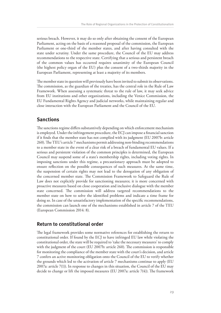serious breach. However, it may do so only after obtaining the consent of the European Parliament, acting on the basis of a reasoned proposal of the commission, the European Parliament or one-third of the member states, and after having consulted with the state under scrutiny. Under the same procedure, the Council of the EU may address recommendations to the respective state. Certifying that a serious and persistent breach of the common values has occurred requires unanimity of the European Council (the highest policy organ of the EU) plus the consent of a two-thirds majority in the European Parliament, representing at least a majority of its members.

The member state in question will previously have been invited to submit its observations. The commission, as the guardian of the treaties, has the central role in the Rule of Law Framework. When assessing a systematic threat to the rule of law, it may seek advice from EU institutions and other organizations, including the Venice Commission, the EU Fundamental Rights Agency and judicial networks, while maintaining regular and close interaction with the European Parliament and the Council of the EU.

### **Sanctions**

The sanctions regime differs substantively depending on which enforcement mechanism is employed. Under the infringement procedure, the ECJ can impose a financial sanction if it finds that the member state has not complied with its judgment (EU 2007b: article 260). The TEU's article 7 mechanisms permit addressing non-binding recommendations to a member state in the event of a clear risk of a breach of fundamental EU values. If a serious and persistent violation of the common principles is determined, the European Council may suspend some of a state's membership rights, including voting rights. In imposing sanctions under this regime, a precautionary approach must be adopted to ensure reflection on the possible consequences of such measures. At the same time, the suspension of certain rights may not lead to the derogation of any obligation of the concerned member state. The Commission Framework to Safeguard the Rule of Law does not explicitly provide for sanctioning measures; it is more concerned with proactive measures based on close cooperation and inclusive dialogue with the member state concerned. The commission will address targeted recommendations to the member state on how to solve the identified problems and indicate a time frame for doing so. In case of the unsatisfactory implementation of the specific recommendations, the commission can launch one of the mechanisms established in article 7 of the TEU (European Commission 2014: 8).

### **Return to constitutional order**

The legal framework provides some normative references for establishing the return to constitutional order. If found by the ECJ to have infringed EU law while violating the constitutional order, the state will be required to 'take the necessary measures' to comply with the judgment of the court (EU 2007b: article 260). The commission is responsible for monitoring the compliance of the member state with the court's decision, and article 7 confers an active monitoring obligation onto the Council of the EU to verify whether the grounds which led to the activation of article 7 mechanisms continue to apply (EU 2007a: article 7(1)). In response to changes in this situation, the Council of the EU may decide to change or lift the imposed measures (EU 2007a: article 7(4)). The framework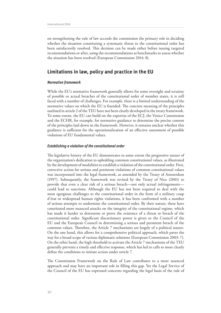on strengthening the rule of law accords the commission the primary role in deciding whether the situation constituting a systematic threat to the constitutional order has been satisfactorily resolved. This decision can be made either before issuing targeted recommendations or after, using the recommendations as benchmarks to assess whether the situation has been resolved (European Commission 2014: 8).

# **Limitations in law, policy and practice in the EU**

#### *Normative framework*

While the EU's normative framework generally allows for some oversight and scrutiny of possible or actual breaches of the constitutional order of member states, it is still faced with a number of challenges. For example, there is a limited understanding of the normative values on which the EU is founded. The concrete meaning of the principles outlined in article 2 of the TEU have not been clearly developed in the treaty framework. To some extent, the EU can build on the expertise of the ECJ, the Venice Commission and the ECHR, for example, for normative guidance to determine the precise content of the principles laid down in the framework. However, it remains unclear whether this guidance is sufficient for the operationalization of an effective assessment of possible violations of EU fundamental values.

#### *Establishing a violation of the constitutional order*

The legislative history of the EU demonstrates to some extent the progressive nature of the organization's dedication to upholding common constitutional values, as illustrated by the development of modalities to establish a violation of the constitutional order. First, corrective action for serious and persistent violations of common constitutional values was incorporated into the legal framework, as amended by the Treaty of Amsterdam (1997). Subsequently, the framework was revised by the Treaty of Nice (2001) to provide that even a clear risk of a serious breach—not only actual infringements could lead to sanctions. Although the EU has not been required to deal with the most egregious challenges to the constitutional order in the form of a military coup d'état or widespread human rights violations, it has been confronted with a number of serious attempts to undermine the constitutional order. By their nature, these have constituted more nuanced attacks on the integrity of the constitutional regime, which has made it harder to determine or prove the existence of a threat or breach of the constitutional order. Significant discretionary power is given to the Council of the EU and the European Council in determining a serious and persistent breach of the common values. Therefore, the Article 7 mechanisms are largely of a political nature. On the one hand, this allows for a comprehensive political approach, which paves the way for a broad scope of various diplomatic solutions (European Commission 2003: 7). On the other hand, the high threshold to activate the Article 7 mechanisms of the TEU generally prevents a timely and effective response, which has led to calls to more clearly define the conditions to initiate action under article 7.

The Commission Framework on the Rule of Law contributes to a more nuanced approach and may have an important role in filling this gap. Yet the Legal Service of the Council of the EU has expressed concerns regarding the legal basis of the rule of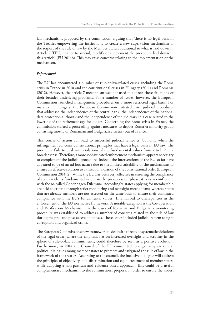law mechanisms proposed by the commission, arguing that 'there is no legal basis in the Treaties empowering the institutions to create a new supervision mechanism of the respect of the rule of law by the Member States, additional to what is laid down in Article 7 TEU, neither to amend, modify or supplement the procedure laid down in this Article' (EU 2014b). This may raise concerns relating to the implementation of the mechanism.

#### *Enforcement*

The EU has encountered a number of rule-of-law-related crises, including the Roma crisis in France in 2010 and the constitutional crises in Hungary (2011) and Romania (2012). However, the article 7 mechanism was not used to address these situations or their broader underlying problems. For a number of issues, however, the European Commission launched infringement procedures on a more restricted legal basis. For instance in Hungary, the European Commission initiated three judicial procedures that addressed the independence of the central bank, the independence of the national data protection authority and the independence of the judiciary in a case related to the lowering of the retirement age for judges. Concerning the Roma crisis in France, the commission started a proceeding against measures to deport Roma (a minority group consisting mostly of Romanian and Bulgarian citizens) out of France.

This course of action can lead to successful judicial remedies, but only when the infringement concerns constitutional principles that have a legal basis in EU law. The procedure fails to deal with violations of the fundamental values from article 2 in a broader sense. Therefore, a more sophisticated enforcement mechanism appears necessary to complement the judicial procedure. Indeed, the interventions of the EU so far have appeared to be of an ad hoc nature due to the limited suitability of the mechanisms to ensure an effective solution to a threat or violation of the constitutional order (European Commission 2014: 2). While the EU has been very effective in ensuring the compliance of states with its fundamental values in the pre-accession phase, it is now confronted with the so-called Copenhagen Dilemma. Accordingly, states applying for membership are held to criteria through strict monitoring and oversight mechanisms, whereas states that are already members are not assessed on the same basis to ensure their continued compliance with the EU's fundamental values. This has led to discrepancies in the enforcement of the EU normative framework. A notable exception is the Co-operation and Verification Mechanism. In the cases of Romania and Bulgaria a monitoring procedure was established to address a number of concerns related to the rule of law during the pre- and post-accession phases. These issues included judicial reform to fight corruption and organized crime.

The European Commission's new framework to deal with threats of systematic violations of the legal order, where the emphasis lies on increased oversight and scrutiny in the sphere of rule-of-law commitments, could therefore be seen as a positive evolution. Furthermore, in 2014 the Council of the EU committed to organizing an annual political dialogue among member states to promote and safeguard the rule of law in the framework of the treaties. According to the council, the inclusive dialogue will address the principles of objectivity, non-discrimination and equal treatment of member states, while adopting a non-partisan and evidence-based approach. This could be a useful complementary mechanism to the commission's proposal in order to ensure the widest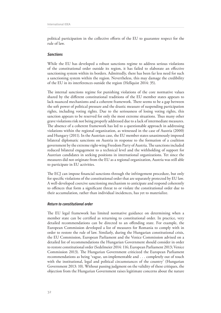political participation in the collective efforts of the EU to guarantee respect for the rule of law.

#### *Sanctions*

While the EU has developed a robust sanctions regime to address serious violations of the constitutional order outside its region, it has failed to elaborate an effective sanctioning system within its borders. Admittedly, there has been far less need for such a sanctioning system within the region. Nevertheless, this may damage the credibility of the EU in its interferences outside the region (Hellquist 2014: 35).

The internal sanctions regime for punishing violations of the core normative values shared by the different constitutional traditions of the EU member states appears to lack nuanced mechanisms and a coherent framework. There seems to be a gap between the soft power of political pressure and the drastic measure of suspending participation rights, including voting rights. Due to the seriousness of losing voting rights, this sanction appears to be reserved for only the most extreme situations. Thus many other grave violations risk not being properly addressed due to a lack of intermediate measures. The absence of a coherent framework has led to a questionable approach in addressing violations within the regional organization, as witnessed in the case of Austria (2000) and Hungary (2011). In the Austrian case, the EU member states unanimously imposed bilateral diplomatic sanctions on Austria in response to the formation of a coalition government by the extreme right-wing Freedom Party of Austria. The sanctions included reduced bilateral engagement to a technical level and the withholding of support for Austrian candidates in seeking positions in international organizations. Yet since the measures did not originate from the EU as a regional organization, Austria was still able to participate in EU activities.

The ECJ can impose financial sanctions through the infringement procedure, but only for specific violations of the constitutional order that are separately protected by EU law. A well-developed coercive sanctioning mechanism to anticipate and respond coherently to offences that form a significant threat to or violate the constitutional order due to their accumulation, rather than individual incidences, has yet to materialize.

#### *Return to constitutional order*

The EU legal framework has limited normative guidance on determining when a member state can be certified as returning to constitutional order. In practice, very detailed recommendations can be directed to an offending state. For example, the European Commission developed a list of measures for Romania to comply with in order to restore the rule of law. Similarly, during the Hungarian constitutional crisis, the EU Commission, European Parliament and the Venice Commission advised on a detailed list of recommendations the Hungarian Government should consider in order to restore constitutional order (Sedelmeier 2014: 116; European Parliament 2013; Venice Commission 2013). The Hungarian Government criticized the European Parliament recommendations as being 'vague, un-implementable and . . . completely out of touch with the institutional, legal and political circumstances of the country' (Hungarian Government 2013: 10). Without passing judgment on the validity of these critiques, the objection from the Hungarian Government raises legitimate concerns about the nature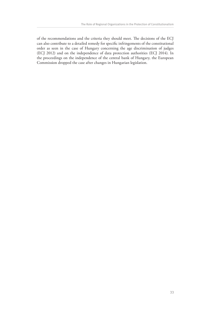of the recommendations and the criteria they should meet. The decisions of the ECJ can also contribute to a detailed remedy for specific infringements of the constitutional order as seen in the case of Hungary concerning the age discrimination of judges (ECJ 2012) and on the independence of data protection authorities (ECJ 2014). In the proceedings on the independence of the central bank of Hungary, the European Commission dropped the case after changes in Hungarian legislation.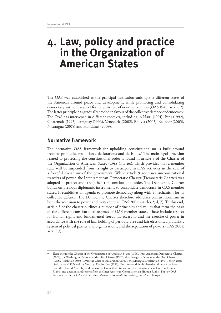# <span id="page-33-0"></span>**4. Law, policy and practice in the Organization of American States**

The OAS was established as the principal institution uniting the different states of the Americas around peace and development, while promoting and consolidating democracy with due respect for the principle of non-intervention (OAS 1948: article 2). The latter principle has gradually eroded in favour of the collective defence of democracy. The OAS has intervened in different contexts, including in Haiti (1991), Peru (1992), Guatemala (1993), Paraguay (1996), Venezuela (2002), Bolivia (2003), Ecuador (2005), Nicaragua (2005) and Honduras (2009).

### **Normative framework**

The normative OAS framework for upholding constitutionalism is built around treaties, protocols, resolutions, declarations and decisions.<sup>9</sup> The main legal provision related to protecting the constitutional order is found in article 9 of the Charter of the Organization of American States (OAS Charter), which provides that a member state will be suspended from its right to participate in OAS activities in the case of a forceful overthrow of the government. While article 9 addresses unconstitutional transfers of power, the Inter-American Democratic Charter (Democratic Charter) was adopted to protect and strengthen the constitutional order. The Democratic Charter builds on previous diplomatic instruments to consolidate democracy in OAS member states. It establishes an agenda to promote democracy along with a mechanism for its collective defence. The Democratic Charter therefore addresses constitutionalism in both the accession to power and in its exercise (OAS 2001: articles 2, 4, 7). To this end, article 3 of the charter outlines a number of principles and values that form the basis of the different constitutional regimes of OAS member states. These include respect for human rights and fundamental freedoms, access to and the exercise of power in accordance with the rule of law, holding of periodic, free and fair elections, a pluralistic system of political parties and organizations, and the separation of powers (OAS 2001: article 3).

These include the Charter of the Organization of American States (1948), Inter-American Democratic Charter (2001), the Washington Protocol to the OAS Charter (1992), the Cartagena Protocol to the OAS Charter (1985), Resolution 1080 (1991), the Québec Declaration (2000), the Managua Declaration (1993), the Nassau Declaration (1992) and the Santiago Declaration (1959). The framework is also based on different decisions from the General Assembly and Permanent Council, decisions from the Inter-American Court of Human Rights, and decisions and reports from the Inter-American Commission on Human Rights. For key OAS documents visit the OAS website, <http://www.oas.org/en/information\_center/default.asp>.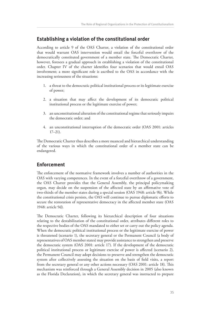### **Establishing a violation of the constitutional order**

According to article 9 of the OAS Charter, a violation of the constitutional order that would warrant OAS intervention would entail the forceful overthrow of the democratically constituted government of a member state. The Democratic Charter, however, foresees a gradual approach in establishing a violation of the constitutional order. Chapter IV of the charter identifies four scenarios that would entail OAS involvement; a more significant role is ascribed to the OAS in accordance with the increasing seriousness of the situations:

- 1. a threat to the democratic political institutional process or its legitimate exercise of power;
- 2. a situation that may affect the development of its democratic political institutional process or the legitimate exercise of power;
- 3. an unconstitutional alteration of the constitutional regime that seriously impairs the democratic order; and
- 4. an unconstitutional interruption of the democratic order (OAS 2001: articles 17–21).

The Democratic Charter thus describes a more nuanced and hierarchical understanding of the various ways in which the constitutional order of a member state can be endangered.

### **Enforcement**

The enforcement of the normative framework involves a number of authorities in the OAS with varying competences. In the event of a forceful overthrow of a government, the OAS Charter provides that the General Assembly, the principal policymaking organ, may decide on the suspension of the affected state by an affirmative vote of two-thirds of the member states during a special session (OAS 1948: article 9b). While the constitutional crisis persists, the OAS will continue to pursue diplomatic efforts to secure the restoration of representative democracy in the affected member state (OAS 1948: article 9d).

The Democratic Charter, following its hierarchical description of four situations relating to the destabilization of the constitutional order, attributes different roles to the respective bodies of the OAS mandated to either set or carry out the policy agenda. When the democratic political institutional process or the legitimate exercise of power is threatened (scenario 1), the secretary general or the Permanent Council (a body of representatives of OAS member states) may provide assistance to strengthen and preserve the democratic system (OAS 2001: article 17). If the development of the democratic political institutional process or legitimate exercise of power is affected (scenario 2), the Permanent Council may adopt decisions to preserve and strengthen the democratic system after collectively assessing the situation on the basis of field visits, a report from the secretary general or any other actions necessary (OAS 2001: article 18). This mechanism was reinforced through a General Assembly decision in 2005 (also known as the Florida Declaration), in which the secretary general was instructed to prepare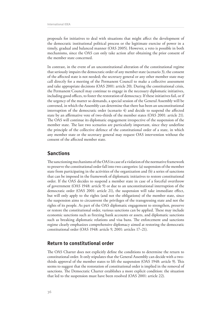proposals for initiatives to deal with situations that might affect the development of the democratic institutional political process or the legitimate exercise of power in a timely, gradual and balanced manner (OAS 2005). However, a veto is possible in both mechanisms, since the OAS can only take action after obtaining the prior consent of the member state concerned.

In contrast, in the event of an unconstitutional alteration of the constitutional regime that seriously impairs the democratic order of any member state (scenario 3), the consent of the affected state is not needed; the secretary general or any other member state may call directly for a meeting of the Permanent Council to make a collective assessment and take appropriate decisions (OAS 2001: article 20). During the constitutional crisis, the Permanent Council may continue to engage in the necessary diplomatic initiatives, including good offices, to foster the restoration of democracy. If these initiatives fail, or if the urgency of the matter so demands, a special session of the General Assembly will be convened, in which the Assembly can determine that there has been an unconstitutional interruption of the democratic order (scenario 4) and decide to suspend the affected state by an affirmative vote of two-thirds of the member states (OAS 2001: article 21). The OAS will continue its diplomatic engagement irrespective of the suspension of the member state. The last two scenarios are particularly important, since they underline the principle of the collective defence of the constitutional order of a state, in which any member state or the secretary general may request OAS intervention without the consent of the affected member state.

### **Sanctions**

The sanctioning mechanisms of the OAS in case of a violation of the normative framework to preserve the constitutional order fall into two categories: (a) suspension of the member state from participating in the activities of the organization and (b) a series of sanctions that can be imposed in the framework of diplomatic initiatives to restore constitutional order. If the OAS decides to suspend a member state in case of a forceful overthrow of government (OAS 1948: article 9) or due to an unconstitutional interruption of the democratic order (OAS 2001: article 21), the suspension will take immediate effect, but will only apply to the rights (and not the obligations) of the member state, since the suspension aims to circumvent the privileges of the transgressing state and not the rights of its people. As part of the OAS diplomatic engagement to strengthen, preserve or restore the constitutional order, various sanctions can be applied. These may include economic sanctions such as freezing bank accounts or assets, and diplomatic sanctions such as breaking diplomatic relations and visa bans. The enforcement and sanctions regime clearly emphasizes comprehensive diplomacy aimed at restoring the democratic constitutional order (OAS 1948: article 9, 2001: articles 17–21).

### **Return to constitutional order**

The OAS Charter does not explicitly define the conditions to determine the return to constitutional order. It only stipulates that the General Assembly can decide with a twothirds approval of the member states to lift the suspension (OAS 1948: article 9). This seems to suggest that the restoration of constitutional order is implied in the removal of sanctions. The Democratic Charter establishes a more explicit condition: the situation that led to the suspension must have been resolved (OAS 2001: article 22).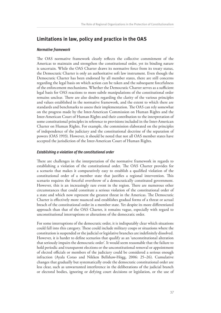# **Limitations in law, policy and practice in the OAS**

#### *Normative framework*

The OAS normative framework clearly reflects the collective commitment of the Americas to maintain and strengthen the constitutional order, yet its binding nature is uncertain. While the OAS Charter draws its normative force from its treaty status, the Democratic Charter is only an authoritative soft law instrument. Even though the Democratic Charter has been endorsed by all member states, there are still concerns regarding the legal basis on which action can be taken and the subsequent forcefulness of the enforcement mechanisms. Whether the Democratic Charter serves as a sufficient legal basis for OAS reactions to more subtle manipulations of the constitutional order remains unclear. There are also doubts regarding the clarity of the various principles and values established in the normative framework, and the extent to which there are standards and benchmarks to assess their implementation. The OAS can rely somewhat on the progress made by the Inter-American Commission on Human Rights and the Inter-American Court of Human Rights and their contribution to the interpretation of some constitutional principles in reference to provisions included in the Inter-American Charter on Human Rights. For example, the commission elaborated on the principles of independence of the judiciary and the constitutional doctrine of the separation of powers (OAS 1993). However, it should be noted that not all OAS member states have accepted the jurisdiction of the Inter-American Court of Human Rights.

#### *Establishing a violation of the constitutional order*

There are challenges in the interpretation of the normative framework in regards to establishing a violation of the constitutional order. The OAS Charter provides for a scenario that makes it comparatively easy to establish a qualified violation of the constitutional order of a member state that justifies a regional intervention. This scenario requires the forceful overthrow of a democratically constituted government. However, this is an increasingly rare event in the region. There are numerous other circumstances that could constitute a serious violation of the constitutional order of a state and which now represent the greatest threat in the Americas. The Democratic Charter is effectively more nuanced and establishes gradual forms of a threat or actual breach of the constitutional order in a member state. Yet despite its more differentiated approach than that of the OAS Charter, it remains vague, especially with regard to unconstitutional interruptions or alterations of the democratic order.

For some interruptions of the democratic order, it is indisputably clear which situations could fall into this category. These could include military coups or situations where the constitution is suspended or the judicial or legislative branches are indefinitely dissolved. However, it is harder to define scenarios that qualify as an 'unconstitutional alteration that seriously impairs the democratic order'. It would seem reasonable that the failure to hold periodic and transparent elections or the unconstitutional removal or appointment of elected officials or members of the judiciary could be considered a serious enough infraction (Ayala Corao and Nikken Bellshaw-Hógg, 2006: 25–26). Cumulative changes that gradually but systematically erode the democratic constitutional order are less clear, such as unwarranted interference in the deliberations of the judicial branch or electoral bodies, ignoring or defying court decisions or legislation, or the use of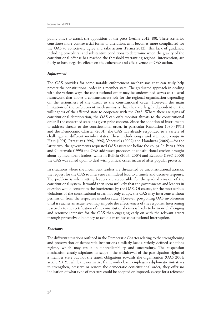public office to attack the opposition or the press (Perina 2012: 80). These scenarios constitute more controversial forms of alteration, as it becomes more complicated for the OAS to collectively agree and take action (Perina 2012). This lack of guidance, including procedural and substantive conditions to determine when the gravity of the constitutional offense has reached the threshold warranting regional intervention, are likely to have negative effects on the coherence and effectiveness of OAS action.

#### *Enforcement*

The OAS provides for some notable enforcement mechanisms that can truly help protect the constitutional order in a member state. The graduated approach in dealing with the various ways the constitutional order may be undermined serves as a useful framework that allows a commensurate role for the regional organization depending on the seriousness of the threat to the constitutional order. However, the main limitation of the enforcement mechanisms is that they are largely dependent on the willingness of the affected state to cooperate with the OAS. Where there are signs of constitutional deterioration, the OAS can only monitor threats to the constitutional order if the concerned state has given prior consent. Since the adoption of instruments to address threats to the constitutional order, in particular Resolution 1080 (1991) and the Democratic Charter (2001), the OAS has already responded to a variety of challenges in different member states. These include coups and attempted coups in Haiti (1991), Paraguay (1996, 1996), Venezuela (2002) and Honduras (2009)—for the latter two, the governments requested OAS assistance before the coups. In Peru (1992) and Guatemala (1993) the OAS addressed processes of constitutional erosion brought about by incumbent leaders, while in Bolivia (2003, 2005) and Ecuador (1997, 2000) the OAS was called upon to deal with political crises incurred after popular protests.

In situations where the incumbent leaders are threatened by unconstitutional attacks, the request for the OAS to intervene can indeed lead to a timely and decisive response. The problem is when sitting leaders are responsible for the gradual erosion of the constitutional system. It would then seem unlikely that the governments and leaders in question would consent to the interference by the OAS. Of course, for the most serious violations of the constitutional order, not only coups, the OAS may intervene without permission from the respective member state. However, postponing OAS involvement until it reaches an acute level may impede the effectiveness of the response. Intervening reactively to the rectification of the constitutional crisis is likely to be more challenging and resource intensive for the OAS than engaging early on with the relevant actors through preventive diplomacy to avoid a manifest constitutional interruption.

#### *Sanctions*

The different situations outlined in the Democratic Charter relating to the strengthening and preservation of democratic institutions similarly lack a strictly defined sanctions regime, which may result in unpredictability and uncertainty. The suspension mechanism clearly stipulates its scope—the withdrawal of the participation rights of a member state but not the state's obligations towards the organization (OAS 2001: article 21). Yet while the normative framework clearly emphasizes diplomatic initiatives to strengthen, preserve or restore the democratic constitutional order, they offer no indication of what type of measure could be adopted or imposed, except for a reference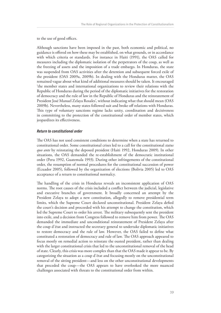to the use of good offices.

Although sanctions have been imposed in the past, both economic and political, no guidance is offered on how these may be established, on what grounds, or in accordance with which criteria or standards. For instance in Haiti (1991), the OAS called for measures including the diplomatic isolation of the perpetrators of the coup, as well as the freezing of assets and the imposition of a trade embargo. In Honduras, the state was suspended from OAS activities after the detention and subsequent forced exile of the president (OAS 2009a, 2009b). In dealing with the Honduras matter, the OAS remained vague about what kind of additional measures should be taken. It encouraged 'the member states and international organizations to review their relations with the Republic of Honduras during the period of the diplomatic initiatives for the restoration of democracy and the rule of law in the Republic of Honduras and the reinstatement of President José Manuel Zelaya Rosales', without indicating what that should mean (OAS 2009b). Nevertheless, many states followed suit and broke off relations with Honduras. This type of voluntary sanctions regime lacks unity, coordination and decisiveness in committing to the protection of the constitutional order of member states, which jeopardizes its effectiveness.

#### *Return to constitutional order*

The OAS has not used consistent conditions to determine when a state has returned to constitutional order. Some constitutional crises led to a call for the constitutional *status quo ante* by reinstating the deposed president (Haiti 1992, Honduras 2009). In other situations, the OAS demanded the re-establishment of the democratic institutional order (Peru 1992, Guatemala 1993). During other infringements of the constitutional order, the resumption of normal procedures for the constitutional succession of power (Ecuador 2005), followed by the organization of elections (Bolivia 2005) led to OAS acceptance of a return to constitutional normalcy.

The handling of the crisis in Honduras reveals an inconsistent application of OAS norms. The root causes of the crisis included a conflict between the judicial, legislative and executive branches of government. It broadly concerned an attempt by the President Zelaya to adopt a new constitution, allegedly to remove presidential term limits, which the Supreme Court declared unconstitutional. President Zelaya defied the court's decision and proceeded with his attempt to change the constitution, which led the Supreme Court to order his arrest. The military subsequently sent the president into exile, and a decision from Congress followed to remove him from power. The OAS demanded the immediate and unconditional reinstatement of President Zelaya after the coup d'état and instructed the secretary general to undertake diplomatic initiatives to restore democracy and the rule of law. However, the OAS failed to define what constituted a restoration of democracy and rule of law. The OAS approach appeared to focus mostly on remedial action to reinstate the ousted president, rather than dealing with the larger constitutional crisis that led to the unconstitutional removal of the head of state. Clearly, this crisis was more complex than that the OAS made it appear to be. By categorizing the situation as a coup d'état and focusing mostly on the unconstitutional removal of the sitting president—and less on the other unconstitutional developments that preceded the coup—the OAS appears to have overlooked the more nuanced challenges associated with threats to the constitutional order from within.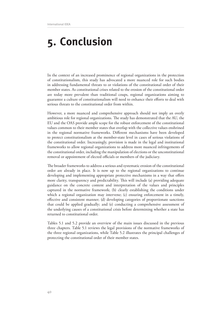# <span id="page-39-0"></span>**5. Conclusion**

In the context of an increased prominence of regional organizations in the protection of constitutionalism, this study has advocated a more nuanced role for such bodies in addressing fundamental threats to or violations of the constitutional order of their member states. As constitutional crises related to the erosion of the constitutional order are today more prevalent than traditional coups, regional organizations aiming to guarantee a culture of constitutionalism will need to enhance their efforts to deal with serious threats to the constitutional order from within.

However, a more nuanced and comprehensive approach should not imply an overly ambitious role for regional organizations. The study has demonstrated that the AU, the EU and the OAS provide ample scope for the robust enforcement of the constitutional values common to their member states that overlap with the collective values enshrined in the regional normative frameworks. Different mechanisms have been developed to protect constitutionalism at the member-state level in cases of serious violations of the constitutional order. Increasingly, provision is made in the legal and institutional frameworks to allow regional organizations to address more nuanced infringements of the constitutional order, including the manipulation of elections or the unconstitutional removal or appointment of elected officials or members of the judiciary.

The broader frameworks to address a serious and systematic erosion of the constitutional order are already in place. It is now up to the regional organizations to continue developing and implementing appropriate protective mechanisms in a way that offers more clarity, transparency and predictability. This will include (a) providing adequate guidance on the concrete content and interpretation of the values and principles captured in the normative framework; (b) clearly establishing the conditions under which a regional organization may intervene; (c) ensuring enforcement in a timely, effective and consistent manner; (d) developing categories of proportionate sanctions that could be applied gradually; and (e) conducting a comprehensive assessment of the underlying causes of a constitutional crisis before determining whether a state has returned to constitutional order.

Tables 5.1 and 5.2 provide an overview of the main issues discussed in the previous three chapters. Table 5.1 reviews the legal provisions of the normative frameworks of the three regional organizations, while Table 5.2 illustrates the principal challenges of protecting the constitutional order of their member states.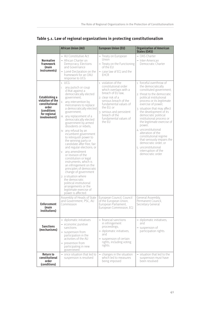|                                                                                                              | <b>African Union (AU)</b>                                                                                                                                                                                                                                                                                                                                                                                                                                                                                                                                                                                                                                                                                                                                                                   | <b>European Union (EU)</b>                                                                                                                                                                                                                                       | <b>Organization of American</b><br><b>States (OAS)</b>                                                                                                                                                                                                                                                                                                                                                                                                                                                                                     |
|--------------------------------------------------------------------------------------------------------------|---------------------------------------------------------------------------------------------------------------------------------------------------------------------------------------------------------------------------------------------------------------------------------------------------------------------------------------------------------------------------------------------------------------------------------------------------------------------------------------------------------------------------------------------------------------------------------------------------------------------------------------------------------------------------------------------------------------------------------------------------------------------------------------------|------------------------------------------------------------------------------------------------------------------------------------------------------------------------------------------------------------------------------------------------------------------|--------------------------------------------------------------------------------------------------------------------------------------------------------------------------------------------------------------------------------------------------------------------------------------------------------------------------------------------------------------------------------------------------------------------------------------------------------------------------------------------------------------------------------------------|
| <b>Normative</b><br>framework<br>(main<br>instruments)                                                       | – AU Constitutive Act<br>- African Charter on<br>Democracy, Elections<br>and Governance<br>- Lomé Declaration on the<br>framework for an OAU<br>response to UCG                                                                                                                                                                                                                                                                                                                                                                                                                                                                                                                                                                                                                             | - Treaty on European<br>Union<br>- Treaty on the Functioning<br>of the FU<br>- case law of ECJ and the<br><b>FHCR</b>                                                                                                                                            | - OAS Charter<br>- Inter-American<br>Democratic Charter                                                                                                                                                                                                                                                                                                                                                                                                                                                                                    |
| Establishing a<br>violation of the<br>constitutional<br>order<br>(conditions<br>for regional<br>involvement) | 1. UCG:<br>any putsch or coup<br>Ι.<br>d'état against a<br>democratically elected<br>government;<br>ii. any intervention by<br>mercenaries to replace<br>a democratically elected<br>government;<br>iii. any replacement of a<br>democratically elected<br>government by armed<br>dissidents or rebels:<br>iv. any refusal by an<br>incumbent government<br>to relinquish power to<br>the winning party or<br>candidate after free, fair<br>and regular elections; or<br>v. any amendment<br>or revision of the<br>constitution or legal<br>instruments, which is<br>an infringement on the<br>principles of democratic<br>change of government<br>2. a situation where<br>the democratic<br>political institutional<br>arrangements or the<br>legitimate exercise of<br>power is affected. | 1. violation of the<br>constitutional order<br>which overlaps with a<br>breach of EU law:<br>2. clear risk of a<br>serious breach of the<br>fundamental values of<br>the EU; or<br>3. serious and persistent<br>breach of the<br>fundamental values of<br>the FU | 1. forceful overthrow of<br>the democratically<br>constituted government;<br>2. threat to the democratic<br>political institutional<br>process or its legitimate<br>exercise of power;<br>3. situation that may affect<br>the development of its<br>democratic political<br>institutional process or<br>the legitimate exercise of<br>power:<br>4. unconstitutional<br>alteration of the<br>constitutional regime<br>that seriously impairs the<br>democratic order: or<br>5. unconstitutional<br>interruption of the<br>democratic order. |
| <b>Enforcement</b><br>(main<br>institutions)                                                                 | Assembly of Heads of State<br>and Government, PSC, AU<br>Commission                                                                                                                                                                                                                                                                                                                                                                                                                                                                                                                                                                                                                                                                                                                         | European Council, Council<br>of the European Union,<br>European Parliament,<br>European Commission, ECJ                                                                                                                                                          | General Assembly.<br>Permanent Council.<br>Secretary General                                                                                                                                                                                                                                                                                                                                                                                                                                                                               |
| <b>Sanctions</b><br>(mechanisms)                                                                             | - diplomatic initiatives<br>- economic punitive<br>sanctions<br>- suspension from<br>participation in the<br>activities of the AU<br>- prevention from<br>participating in new<br>government                                                                                                                                                                                                                                                                                                                                                                                                                                                                                                                                                                                                | - financial sanctions<br>in infringement<br>proceedings;<br>- diplomatic initiatives;<br>and<br>- suspension of certain<br>rights, including voting<br>rights.                                                                                                   | - diplomatic initiatives;<br>and<br>- suspension of<br>participation rights.                                                                                                                                                                                                                                                                                                                                                                                                                                                               |
| <b>Return to</b><br>constitutional<br>order<br>(conditions)                                                  | - once situation that led to<br>suspension is resolved                                                                                                                                                                                                                                                                                                                                                                                                                                                                                                                                                                                                                                                                                                                                      | - changes in the situation<br>which led to measures<br>being imposed                                                                                                                                                                                             | - situation that led to the<br>suspension must have<br>been resolved                                                                                                                                                                                                                                                                                                                                                                                                                                                                       |

# **Table 5.1. Law of regional organizations in protecting constitutionalism**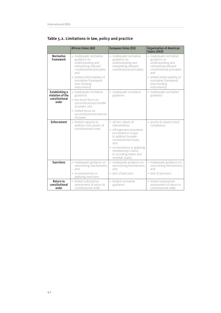|                                                               | <b>African Union (AU)</b>                                                                                                                                                                                       | <b>European Union (EU)</b>                                                                                                                                                                                                                        | <b>Organization of American</b><br><b>States (OAS)</b>                                                                                                                                                          |
|---------------------------------------------------------------|-----------------------------------------------------------------------------------------------------------------------------------------------------------------------------------------------------------------|---------------------------------------------------------------------------------------------------------------------------------------------------------------------------------------------------------------------------------------------------|-----------------------------------------------------------------------------------------------------------------------------------------------------------------------------------------------------------------|
| <b>Normative</b><br>framework                                 | - inadequate normative<br>guidance on<br>understanding and<br>interpreting relevant<br>constitutional principles;<br>and<br>- limited enforceability of<br>normative framework<br>(non-binding<br>instruments). | - inadequate normative<br>guidance on<br>understanding and<br>interpreting relevant<br>constitutional principles.                                                                                                                                 | - inadequate normative<br>guidance on<br>understanding and<br>interpreting relevant<br>constitutional principles;<br>and<br>- limited enforceability of<br>normative framework<br>(non-binding<br>instruments). |
| Establishing a<br>violation of the<br>constitutional<br>order | - inadequate normative<br>guidance;<br>- too much focus on<br>unconstitutional transfer<br>of power; and<br>- limited focus on<br>unconstitutional exercise<br>of power.                                        | - inadequate normative<br>guidance.                                                                                                                                                                                                               | - inadequate normative<br>guidance.                                                                                                                                                                             |
| <b>Enforcement</b>                                            | - limited capacity to<br>address root causes of<br>constitutional crises                                                                                                                                        | - ad hoc nature of<br>interventions:<br>- infringement procedure<br>too limited in scope<br>to address broader<br>constitutional issues:<br>and<br>- inconsistency in applying<br>membership criteria<br>to acceding states and<br>member states. | - access to assess (non)<br>compliance.                                                                                                                                                                         |
| <b>Sanctions</b>                                              | - inadequate guidance on<br>sanctioning mechanisms;<br>and<br>$-$ inconsistencies in<br>applying sanctions.                                                                                                     | - inadequate guidance on<br>sanctioning mechanisms;<br>and<br>- lack of precision.                                                                                                                                                                | - inadequate guidance on<br>sanctioning mechanisms;<br>and<br>- lack of precision.                                                                                                                              |
| <b>Return to</b><br>constitutional<br>order                   | - limited substantive<br>assessment of return to<br>constitutional order.                                                                                                                                       | - limited normative<br>guidance.                                                                                                                                                                                                                  | - limited substantive<br>assessment of return to<br>constitutional order.                                                                                                                                       |

# **Table 5.2. Limitations in law, policy and practice**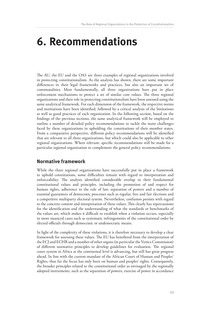# <span id="page-42-0"></span>**6. Recommendations**

The AU, the EU and the OAS are three examples of regional organizations involved in protecting constitutionalism. As the analysis has shown, there are some important differences in their legal frameworks and practices, but also an important set of commonalities. Most fundamentally, all three organizations have put in place enforcement mechanisms to protect a set of similar core values. The three regional organizations and their role in protecting constitutionalism have been assessed using the same analytical framework. For each dimension of the framework, the respective norms and institutions have been identified, followed by a critical analysis of the limitations as well as good practices of each organization. In the following section, based on the findings of the previous sections, the same analytical framework will be employed to outline a number of detailed policy recommendations to tackle the main challenges faced by these organizations in upholding the constitutions of their member states. From a comparative perspective, different policy recommendations will be identified that are relevant to all three organizations, but which could also be applicable to other regional organizations. Where relevant, specific recommendations will be made for a particular regional organization to complement the general policy recommendations.

# **Normative framework**

While the three regional organizations have successfully put in place a framework to uphold constitutions, some difficulties remain with regard to interpretation and enforceability. The analysis identified considerable overlap in their fundamental constitutional values and principles, including the promotion of and respect for human rights, adherence to the rule of law, separation of powers and a number of essential guarantees of democratic processes such as regular, free and fair elections and a competitive multiparty electoral system. Nevertheless, confusion persists with regard to the concrete content and interpretation of these values. This clearly has repercussions for the identification and the understanding of what the standards or benchmarks of the values are, which makes it difficult to establish when a violation occurs, especially in more nuanced cases such as systematic infringements of the constitutional order by elected officials through democratic or undemocratic means.

In light of the complexity of these violations, it is therefore necessary to develop a clear framework for assessing these values. The EU has benefitted from the interpretation of the ECJ and ECHR and a number of other organs (in particular the Venice Commission) of different normative principles to develop guidelines for evaluation. The regional court system in Africa at the continental level is advancing, but still has great progress ahead. In line with the current mandate of the African Court of Human and Peoples' Rights, thus far the focus has only been on human and peoples' rights. Consequently, the broader principles related to the constitutional order as envisaged by the regionally adopted instruments, such as the separation of powers, exercise of power in accordance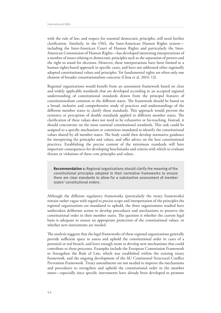with the rule of law, and respect for essential democratic principles, still need further clarification. Similarly, in the OAS, the Inter-American Human Rights system including the Inter-American Court of Human Rights and particularly the Inter-American Commission of Human Rights—has developed interesting interpretations of a number of issues relating to democratic principles such as the separation of powers and the right to stand for elections. However, these interpretations have been limited to a human rights-based approach in specific cases, and have not addressed other regionally adopted constitutional values and principles. Yet fundamental rights are often only one element of broader constitutionalism concerns (Closa et al. 2014: 12).

Regional organizations would benefit from an assessment framework based on clear and widely applicable standards that are developed according to an accepted regional understanding of constitutional standards drawn from the principal features of constitutionalism common to the different states. The framework should be based on a broad, inclusive and comprehensive study of practices and understandings of the different member states to clarify these standards. This approach would prevent the existence or perception of double standards applied to different member states. The clarification of these values does not need to be exhaustive or far-reaching. Instead, it should concentrate on the most essential constitutional standards. This task could be assigned to a specific mechanism or committee mandated to identify the constitutional values shared by all member states. The body could then develop normative guidance for interpreting the principles and values, and offer advice on the best constitutional practices. Establishing the precise content of the minimum standards will have important consequences for developing benchmarks and criteria with which to evaluate threats or violations of these core principles and values.

**Recommendation 1:** Regional organizations should clarify the meaning of the constitutional principles adopted in their normative frameworks to ensure there are clear standards to allow for a substantive assessment of member states' constitutional orders.

Although the different regulatory frameworks (particularly the treaty frameworks) remain rather vague with regard to precise scope and interpretation of the principles the regional organizations are mandated to uphold, the three organizations studied have undertaken deliberate action to develop procedures and mechanisms to preserve the constitutional order in their member states. The question is whether the current legal basis is adequate to ensure an appropriate protection of the constitutional values, or whether new instruments are needed.

The analysis suggests that the legal frameworks of these regional organizations generally provide sufficient space to assess and uphold the constitutional order in cases of a potential or real breach, and leave enough room to develop new mechanisms that could contribute to these processes. Examples include the European Commission Framework to Strengthen the Rule of Law, which was established within the existing treaty framework, and the ongoing development of the AU Continental Structural Conflict Prevention Framework. Treaty amendments are not needed to improve the mechanisms and procedures to strengthen and uphold the constitutional order in the member states—especially since specific instruments have already been developed to promote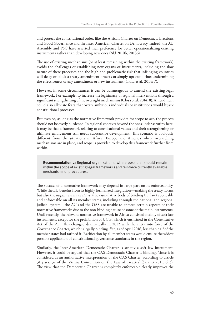and protect the constitutional order, like the African Charter on Democracy, Elections and Good Governance and the Inter-American Charter on Democracy. Indeed, the AU Assembly and PSC have asserted their preference for better operationalizing existing instruments rather than developing new ones (AU 2010b, 2013b).

The use of existing mechanisms (or at least remaining within the existing framework) avoids the challenges of establishing new organs or instruments, including the slow nature of these processes and the high and problematic risk that infringing countries will delay or block a treaty amendment process or simply opt out—thus undermining the effectiveness of any amendment or new instrument (Closa et al. 2014: 7).

However, in some circumstances it can be advantageous to amend the existing legal framework. For example, to increase the legitimacy of regional interventions through a significant strengthening of the oversight mechanisms (Closa et al. 2014: 8). Amendment could also alleviate fears that overly ambitious individuals or institutions would hijack constitutional processes.

But even so, as long as the normative framework provides for scope to act, the process should not be overly burdened. In regional contexts beyond the ones under scrutiny here, it may be that a framework relating to constitutional values and their strengthening or ultimate enforcement still needs substantive development. This scenario is obviously different from the situations in Africa, Europe and America where overarching mechanisms are in place, and scope is provided to develop this framework further from within.

**Recommendation 2:** Regional organizations, where possible, should remain within the scope of existing legal frameworks and reinforce currently available mechanisms or procedures.

The success of a normative framework may depend in large part on its enforceability. While the EU benefits from its highly formalized integration—making the treaty norms but also the *acquis communautaire* (the cumulative body of binding EU law) applicable and enforceable on all its member states, including through the national and regional judicial system—the AU and the OAS are unable to enforce certain aspects of their normative frameworks due to the non-binding nature of some of the main instruments. Until recently, the relevant normative framework in Africa consisted mainly of soft law instruments, except for the prohibition of UCG, which is enshrined in the Constitutive Act of the AU. This changed dramatically in 2012 with the entry into force of the Governance Charter, which is legally binding. Yet, as of April 2016, less than half of the member states had ratified it. Ratification by all member states would ensure the widest possible application of constitutional governance standards in the region.

Similarly, the Inter-American Democratic Charter is strictly a soft law instrument. However, it could be argued that the OAS Democratic Charter is binding, 'since it is considered as an authoritative interpretation of the OAS Charter, according to article 31 para. 3a of the Vienna Convention on the Law of Treaties' (Saranti 2011: 695). The view that the Democratic Charter is completely enforceable clearly improves the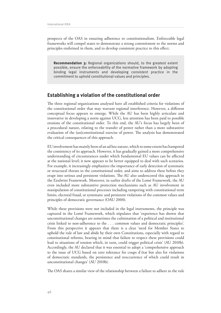prospects of the OAS in ensuring adherence to constitutionalism. Enforceable legal frameworks will compel states to demonstrate a strong commitment to the norms and principles enshrined in them, and to develop consistent practice to this effect.

**Recommendation 3:** Regional organizations should, to the greatest extent possible, ensure the enforceability of the normative framework by adopting binding legal instruments and developing consistent practice in the commitment to uphold constitutional values and principles.

# **Establishing a violation of the constitutional order**

The three regional organizations analysed have all established criteria for violations of the constitutional order that may warrant regional interference. However, a different conceptual focus appears to emerge. While the AU has been highly articulate and innovative in developing a norm against UCG, less attention has been paid to possible erosions of the constitutional order. To this end, the AU's focus has largely been of a procedural nature, relating to the transfer of power rather than a more substantive evaluation of the (un)constitutional exercise of power. The analysis has demonstrated the critical consequences of this approach.

EU involvement has mainly been of an ad hoc nature, which to some extent has hampered the consistency of its approach. However, it has gradually gained a more comprehensive understanding of circumstances under which fundamental EU values can be affected at the national level; it now appears to be better equipped to deal with such scenarios. For example, it increasingly emphasizes the importance of early detection of systematic or structural threats to the constitutional order, and aims to address these before they erupt into serious and persistent violations. The AU also underscored this approach in the Ezulwini Framework. Moreover, in earlier drafts of the Lomé Framework, the AU even included more substantive protection mechanisms such as AU involvement in manipulation of constitutional processes including tampering with constitutional term limits, electoral fraud, or systematic and persistent violations of the common values and principles of democratic governance (OAU 2000).

While these provisions were not included in the legal instruments, the principle was captured in the Lomé Framework, which stipulates that 'experience has shown that unconstitutional changes are sometimes the culmination of a political and institutional crisis linked to non-adherence to the . . . common values and democratic principles'. From this perspective it appears that there is a clear 'need for Member States to uphold the rule of law and abide by their own Constitutions, especially with regard to constitutional reforms, bearing in mind that failure to respect these provisions could lead to situations of tension which, in turn, could trigger political crisis' (AU 2010b). Accordingly, the AU declared that it was essential to adopt a 'comprehensive approach to the issue of UCG based on zero tolerance for coups d'état but also for violations of democratic standards, the persistence and reoccurrence of which could result in unconstitutional changes' (AU 2010b).

The OAS shares a similar view of the relationship between a failure to adhere to the rule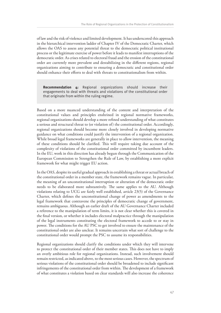of law and the risk of violence and limited development. It has underscored this approach in the hierarchical intervention ladder of Chapter IV of the Democratic Charter, which allows the OAS to assess any potential threat to the democratic political institutional process or the legitimate exercise of power before it leads to manifest interruptions of the democratic order. As crises related to electoral fraud and the erosion of the constitutional order are currently more prevalent and destabilizing in the different regions, regional organizations aiming to contribute to ensuring a democratic and constitutional order should enhance their efforts to deal with threats to constitutionalism from within.

**Recommendation 4:** Regional organizations should increase their engagements to deal with threats and violations of the constitutional order that originate from within the ruling regime.

Based on a more nuanced understanding of the content and interpretation of the constitutional values and principles enshrined in regional normative frameworks, regional organizations should develop a more refined understanding of what constitutes a serious and structural threat to (or violation of) the constitutional order. Accordingly, regional organizations should become more closely involved in developing normative guidance on what conditions could justify the intervention of a regional organization. While broad legal frameworks are generally in place to allow intervention, the meaning of these conditions should be clarified. This will require taking due account of the complexity of violations of the constitutional order committed by incumbent leaders. In the EU, work in this direction has already begun through the Communication of the European Commission to Strengthen the Rule of Law, by establishing a more explicit framework for what might trigger EU action.

In the OAS, despite its useful gradual approach in establishing a threat or actual breach of the constitutional order in a member state, the framework remains vague. In particular, the meaning of an unconstitutional interruption or alteration of the democratic order needs to be elaborated more substantively. The same applies to the AU. Although violations relating to UCG are fairly well established, article 23(5) of the Governance Charter, which defines the unconstitutional change of power as amendments to the legal framework that contravene the principles of democratic change of government, remains ambiguous. Although an earlier draft of the AU Governance Charter included a reference to the manipulation of term limits, it is not clear whether this is covered in the final version, or whether it includes electoral malpractice through the manipulation of the legal instruments constituting the electoral framework to accede to or stay in power. The conditions for the AU PSC to get involved to ensure the maintenance of the constitutional order are also unclear. It remains uncertain what sort of challenge to the constitutional order would prompt the PSC to assume its responsibilities.

Regional organizations should clarify the conditions under which they will intervene to protect the constitutional order of their member states. This does not have to imply an overly ambitious role for regional organizations. Instead, such involvement should remain restricted, as indicated above, to the most serious cases. However, the spectrum of serious violations of the constitutional order should be broadened to include significant infringements of the constitutional order from within. The development of a framework of what constitutes a violation based on clear standards will also increase the coherence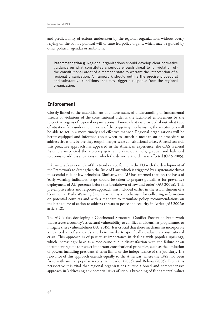and predictability of actions undertaken by the regional organization, without overly relying on the ad hoc political will of state-led policy organs, which may be guided by other political agendas or ambitions.

**Recommendation 5:** Regional organizations should develop clear normative guidance on what constitutes a serious enough threat to (or violation of) the constitutional order of a member state to warrant the intervention of a regional organization. A framework should outline the precise procedural and substantive conditions that may trigger a response from the regional organization.

### **Enforcement**

Closely linked to the establishment of a more nuanced understanding of fundamental threats or violations of the constitutional order is the facilitated enforcement by the respective organs of regional organizations. If more clarity is provided about what type of situation falls under the purview of the triggering mechanisms, the institutions will be able to act in a more timely and effective manner. Regional organizations will be better equipped and informed about when to launch a mechanism or procedure to address situations before they erupt in larger-scale constitutional crises. A trend towards this proactive approach has appeared in the American experience: the OAS General Assembly instructed the secretary general to develop timely, gradual and balanced solutions to address situations in which the democratic order was affected (OAS 2005).

Likewise, a clear example of this trend can be found in the EU with the development of the Framework to Strengthen the Rule of Law, which is triggered by a systematic threat to essential rule of law principles. Similarly, the AU has affirmed that, on the basis of 'early warning indicators, steps should be taken to prepare guidelines for preventive deployment of AU presence before the breakdown of law and order' (AU 2009a). This pre-emptive alert and response approach was included earlier in the establishment of a Continental Early Warning System, which is a mechanism for collecting information on potential conflicts and with a mandate to formulate policy recommendations on the best course of action to address threats to peace and security in Africa (AU 2002a: article 12).

The AU is also developing a Continental Structural Conflict Prevention Framework that assesses a country's structural vulnerability to conflict and identifies programmes to mitigate these vulnerabilities (AU 2015). It is crucial that these mechanisms incorporate a nuanced set of standards and benchmarks to specifically evaluate a constitutional crisis. This approach is of particular importance in dealing with popular uprisings, which increasingly have as a root cause public dissatisfaction with the failure of an incumbent regime to respect important constitutional principles, such as the limitation of powers including presidential term limits or the independence of the judiciary. The relevance of this approach extends equally to the Americas, where the OAS had been faced with similar popular revolts in Ecuador (2005) and Bolivia (2005). From this perspective it is vital that regional organizations pursue a broad and comprehensive approach in 'addressing any potential risks of serious breaching of fundamental values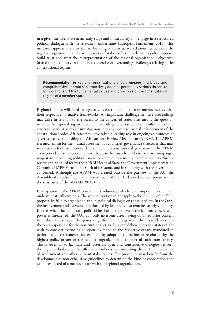in a given member state at an early stage and immediately . . . engage in a structured political dialogue with the relevant member state' (European Parliament: 2013). This inclusive approach is also key to building a constructive relationship between the regional organization and a wide variety of stakeholders in order to mobilize support, build trust and avert the misrepresentation of the regional organization's objectives in assisting a country in the delicate exercise of overcoming challenges relating to its constitutional regime.

**Recommendation 6:** Regional organizations should engage in a broad and comprehensive approach to proactively address potentially serious threats to (or violations of) the fundamental values and principles of the constitutional regime of a member state.

Regional bodies will need to regularly assess the compliance of member states with their respective normative frameworks. An important challenge in these proceedings may arise in relation to the access to the concerned state. This means the question whether the regional organization will have adequate access to relevant information and actors to conduct a proper investigation into any potential or real infringement of the constitutional order. African states have taken a leading role in ongoing assessments of governance by establishing the African Peer Review Mechanism (APRM). The APRM is a mechanism for the mutual assessment of countries' governance structures that may serve as a vehicle to improve democratic and constitutional governance. The APRM even provides for a special review that can be launched when early warning signs suggest an impending political, social or economic crisis in a member country. Such a review can be called for by the APRM Heads of State and Government Implementation Committee (APR Forum) in a spirit of assistance and in solidarity with the government concerned. Although the APRM was created outside the purview of the AU, the Assembly of Heads of State and Government of the AU decided to incorporate it into the structures of the AU (AU 2014d).

Participation in the APRM procedure is voluntary, which to an important extent can undermine its effectiveness. The same restriction might apply to the Council of the EU's proposal in 2014 to organize an annual political dialogue on the rule of law. In the OAS, the involvement and assessment performed by its organs also remains largely voluntary. In cases when the democratic political institutional process or the legitimate exercise of power is threatened, the OAS can only intervene after having obtained prior consent from the affected state. This poses a significant challenge when the elected leaders are the ones responsible for the constitutional crisis. In view of these concerns, states might wish to consider extending an open invitation to the respective organs mandated to perform such assessments, for example by adopting a decision or resolution by the highest policy organs of the regional organization in support of such transparency. This is essential to facilitate and foster an open and constructive dialogue between the regional body and the affected member state, including the different branches of government and other relevant stakeholders. The procedure may benefit from the development of non-exhaustive guidelines to determine the kind of cooperation that can be expected of a member state with the regional organization.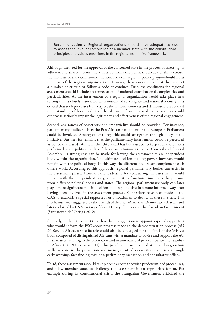**Recommendation 7:** Regional organizations should have adequate access to assess the level of compliance of a member state with the constitutional principles and values enshrined in the regional normative framework.

Although the need for the approval of the concerned state in the process of assessing its adherence to shared norms and values confirms the political delicacy of this exercise, the interests of the citizens—not national or even regional power plays—should lie at the heart of the regional organization. However, these assessments must then respect a number of criteria or follow a code of conduct. First, the conditions for regional assessment should include an appreciation of national constitutional complexities and particularities. As the intervention of a regional organization would take place in a setting that is closely associated with notions of sovereignty and national identity, it is crucial that such processes fully respect the national contexts and demonstrate a detailed understanding of local realities. The absence of such procedural guarantees could otherwise seriously impair the legitimacy and effectiveness of the regional engagement.

Second, assurances of objectivity and impartiality should be provided. For instance, parliamentary bodies such as the Pan-African Parliament or the European Parliament could be involved. Among other things this could strengthen the legitimacy of the initiative. But the risk remains that the parliamentary intervention could be perceived as politically biased. While in the OAS a call has been issued to keep such evaluations performed by the political bodies of the organization—Permanent Council and General Assembly—a strong case can be made for leaving the assessment to an independent body within the organization. The ultimate decision-making power, however, would remain with the political body. In this way, the different bodies can complement each other's work. According to this approach, regional parliamentary bodies can assist in the assessment phase. However, the leadership for conducting the assessment would remain with the independent body, allowing it to function uninhibited by pressure from different political bodies and states. The regional parliamentary body can later play a more significant role in decision-making, and this in a more informed way after having been involved in the assessment process. Suggestions have been made in the OAS to establish a special rapporteur or ombudsman to deal with these matters. This mechanism was suggested by the Friends of the Inter-American Democratic Charter, and later endorsed by US Secretary of State Hillary Clinton and the Canadian Government (Santistevan de Noriega 2012).

Similarly, in the AU context there have been suggestions to appoint a special rapporteur who would inform the PSC about progress made in the democratization process (AU 2010c). In Africa, a specific role could also be envisaged for the Panel of the Wise, a body composed of distinguished Africans with a mandate to advise and support the AU in all matters relating to the promotion and maintenance of peace, security and stability in Africa (AU 2002a: article 11). This panel could use its mediation and negotiation skills to assist in the prevention and management of a constitutional crisis, through early warning, fact-finding missions, preliminary mediation and consultative offices.

Third, these assessments should take place in accordance with predetermined procedures, and allow member states to challenge the assessment in an appropriate forum. For example during its constitutional crisis, the Hungarian Government criticized the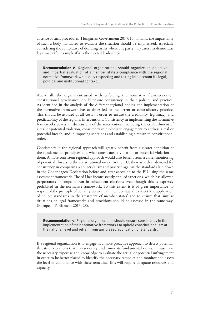absence of such procedures (Hungarian Government 2013: 10). Finally, the impartiality of such a body mandated to evaluate the situation should be emphasized, especially considering the complexity of deciding issues where one party may assert its democratic legitimacy (for example if it is the elected leadership).

**Recommendation 8:** Regional organizations should organize an objective and impartial evaluation of a member state's compliance with the regional normative framework while duly respecting and taking into account its legal, political and institutional context.

Above all, the organs entrusted with enforcing the normative frameworks on constitutional governance should ensure consistency in their policies and practice. As identified in the analysis of the different regional bodies, the implementation of the normative framework has at times led to incoherent or contradictory practice. This should be avoided at all costs in order to ensure the credibility, legitimacy and predictability of the regional interventions. Consistency in implementing the normative frameworks covers all dimensions of the intervention, including the establishment of a real or potential violation, consistency in diplomatic engagement to address a real or potential breach, and in imposing sanctions and establishing a return to constitutional order.

Consistency in the regional approach will greatly benefit from a clearer definition of the fundamental principles and what constitutes a violation or potential violation of them. A more consistent regional approach would also benefit from a closer monitoring of potential threats to the constitutional order. In the EU, there is a clear demand for consistency in comparing a country's law and practice against the standards laid down in the Copenhagen Declaration before and after accession to the EU using the same assessment framework. The AU has inconsistently applied sanctions, which has allowed perpetrators of coups to run in subsequent elections even though this is expressly prohibited in the normative framework. To this extent it is of great importance 'to respect of the principle of equality between all member states', to reject 'the application of double standards in the treatment of member states' and to ensure that 'similar situations or legal frameworks and provisions should be assessed in the same way' (European Parliament 2013: 28).

**Recommendation 9:** Regional organizations should ensure consistency in the implementation of their normative frameworks to uphold constitutionalism at the national level and refrain from any biased application of standards.

If a regional organization is to engage in a more proactive approach to detect potential threats or violations that may seriously undermine its fundamental values, it must have the necessary expertise and knowledge to evaluate the actual or potential infringement in order to be better placed to identify the necessary remedies and monitor and assess the level of compliance with these remedies. This will require adequate resources and capacity.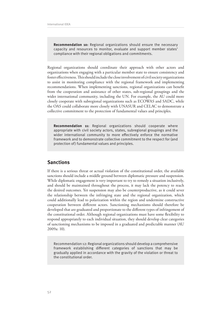**Recommendation 10:** Regional organizations should ensure the necessary capacity and resources to monitor, evaluate and support member states' compliance with their regional obligations and commitments.

Regional organizations should coordinate their approach with other actors and organizations when engaging with a particular member state to ensure consistency and foster effectiveness. This should include the close involvement of civil society organizations to assist in monitoring compliance with the regional framework and implementing recommendations. When implementing sanctions, regional organizations can benefit from the cooperation and assistance of other states, sub-regional groupings and the wider international community, including the UN. For example, the AU could more closely cooperate with subregional organizations such as ECOWAS and SADC, while the OAS could collaborate more closely with UNASUR and CELAC to demonstrate a collective commitment to the protection of fundamental values and principles.

**Recommendation 11:** Regional organizations should cooperate where appropriate with civil society actors, states, subregional groupings and the wider international community to more effectively enforce the normative framework and to demonstrate collective commitment to the respect for (and protection of) fundamental values and principles.

# **Sanctions**

If there is a serious threat or actual violation of the constitutional order, the available sanctions should include a middle ground between diplomatic pressure and suspension. While diplomatic engagement is very important to try to remedy a situation inclusively, and should be maintained throughout the process, it may lack the potency to reach the desired outcomes. Yet suspension may also be counterproductive, as it could sever the relationship between the infringing state and the regional organization, which could additionally lead to polarization within the region and undermine constructive cooperation between different actors. Sanctioning mechanisms should therefore be developed that are graduated and proportionate to the different types of infringement of the constitutional order. Although regional organizations must have some flexibility to respond appropriately to each individual situation, they should develop clear categories of sanctioning mechanisms to be imposed in a graduated and predictable manner (AU 2009a: 10).

Recommendation 12: Regional organizations should develop a comprehensive framework establishing different categories of sanctions that may be gradually applied in accordance with the gravity of the violation or threat to the constitutional order.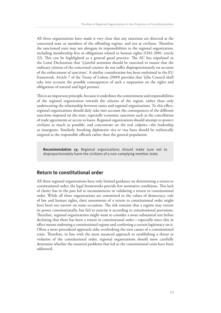All three organizations have made it very clear that any sanctions are directed at the concerned state or members of the offending regime, and not at civilians. Therefore the sanctioned state may not abrogate its responsibilities to the regional organization, including membership fees or obligations related to human rights (OAS 2001: article 22). This can be highlighted as a general good practice. The AU has stipulated in the Lomé Declaration that '[c]areful attention should be exercised to ensure that the ordinary citizens of the concerned country do not suffer disproportionately on account of the enforcement of sanctions'. A similar consideration has been enshrined in the EU framework. Article 7 of the Treaty of Lisbon (2009) provides that '[t]he Council shall take into account the possible consequences of such a suspension on the rights and obligations of natural and legal persons'.

This is an important principle, because it underlines the commitment and responsibilities of the regional organization towards the citizens of the region, rather than only underscoring the relationship between states and regional organizations. To this effect, regional organizations should duly take into account the consequences of the different sanctions imposed on the state, especially economic sanctions such as the cancellation of trade agreements or access to loans. Regional organizations should attempt to protect civilians as much as possible, and concentrate on the real culprits—the leadership or insurgents. Similarly, breaking diplomatic ties or visa bans should be realistically targeted at the responsible officials rather than the general population.

**Recommendation 13:** Regional organizations should make sure not to disproportionately harm the civilians of a non-complying member state.

### **Return to constitutional order**

All three regional organizations have only limited guidance on determining a return to constitutional order; the legal frameworks provide few normative conditions. This lack of clarity has in the past led to inconsistencies in validating a return to constitutional order. While all three organizations are committed to the values of democracy, rule of law and human rights, their assessments of a return to constitutional order might have been too narrow on some occasions. The risk remains that a regime may restore its power constitutionally, but fail to exercise it according to constitutional provisions. Therefore, regional organizations might want to consider a more substantial test before declaring that there has been a return to constitutional order—especially since this in effect means endorsing a constitutional regime and conferring a certain legitimacy on it. Often a mere procedural approach risks overlooking the root causes of a constitutional crisis. Therefore, in line with the more nuanced approach to establishing a threat or violation of the constitutional order, regional organizations should more carefully determine whether the essential problems that led to the constitutional crisis have been addressed.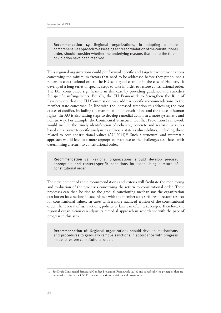**Recommendation 14:** Regional organizations, in adopting a more comprehensive approach to assessing a threat or violation of the constitutional order, should consider whether the underlying reasons that led to the threat or violation have been resolved.

Thus regional organizations could put forward specific and targeted recommendations concerning the minimum factors that need to be addressed before they pronounce a return to constitutional order. The EU set a good example in the case of Hungary: it developed a long series of specific steps to take in order to restore constitutional order. The ECJ contributed significantly in this case by providing guidance and remedies for specific infringements. Equally, the EU Framework to Strengthen the Rule of Law provides that the EU Commission may address specific recommendations to the member state concerned. In line with the increased attention to addressing the root causes of conflict, including the manipulation of constitutions and the abuse of human rights, the AU is also taking steps to develop remedial action in a more systematic and holistic way. For example, the Continental Structural Conflict Prevention Framework would include the timely identification of coherent, concrete and realistic measures based on a context-specific analysis to address a state's vulnerabilities, including those related to core constitutional values (AU 2013).<sup>10</sup> Such a structural and systematic approach would lead to a more appropriate response to the challenges associated with determining a return to constitutional order.

**Recommendation 15:** Regional organizations should develop precise, appropriate and context-specific conditions for establishing a return of constitutional order.

The development of these recommendations and criteria will facilitate the monitoring and evaluation of the processes concerning the return to constitutional order. These processes can then be tied to the gradual sanctioning mechanism: the organization can loosen its sanctions in accordance with the member state's efforts to restore respect for constitutional values. In cases with a more nuanced erosion of the constitutional order, the reversal of such actions, policies or laws can often take longer. Therefore, the regional organization can adjust its remedial approach in accordance with the pace of progress in this area.

**Recommendation 16:** Regional organizations should develop mechanisms and procedures to gradually remove sanctions in accordance with progress made to restore constitutional order.

<sup>10</sup> See Draft Continental Structural Conflict Prevention Framework (2013) and specifically the principles that are intended to inform the CSCPF preventive actions, activities and programmes.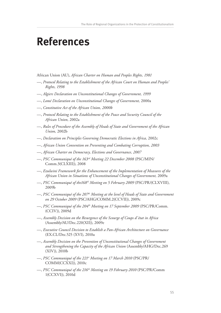# <span id="page-54-0"></span>**References**

African Union (AU), *African Charter on Human and Peoples Rights, 1981*

- —, *Protocol Relating to the Establishment of the African Court on Human and Peoples' Rights, 1998*
- —, *Algiers Declaration on Unconstitutional Changes of Government, 1999*
- —, *Lomé Declaration on Unconstitutional Changes of Government,* 2000a
- —, *Constitutive Act of the African Union, 2000b*
- —, *Protocol Relating to the Establishment of the Peace and Security Council of the African Union,* 2002a
- —, *Rules of Procedure of the Assembly of Heads of State and Government of the African Union,* 2002b
- —, *Declaration on Principles Governing Democratic Elections in Africa,* 2002c
- —, *African Union Convention on Preventing and Combating Corruption, 2003*
- —, *African Charter on Democracy, Elections and Governance, 2007*
- —, *PSC Communiqué of the 163rd Meeting 22 December 2008* (PSC/MIN/ Comm.3(CLXIII)), 2008
- —, *Ezulwini Framework for the Enhancement of the Implementation of Measures of the African Union in Situations of Unconstitutional Changes of Government,* 2009a
- —, *PSC Communiqué of the168th Meeting on 5 February 2009* (PSC/PR/(CLXVIII), 2009b
- —, *PSC Communiqué of the 207th Meeting at the level of Heads of State and Government on 29 October 2009* (PSC/AHG/COMM.2(CCVII)), 2009c
- —, *PSC Communiqué of the 204th Meeting on 17 September 2009* (PSC/PR/Comm. (CCIV)), 2009d
- —, *Assembly Decision on the Resurgence of the Scourge of Coups d'état in Africa* (Assembly/AU/Dec.220(XII)), 2009e
- —, *Executive Council Decision to Establish a Pan-African Architecture on Governance* (EX.CL/Dec.525 (XVI), 2010a
- —, *Assembly Decision on the Prevention of Unconstitutional Changes of Government and Strengthening the Capacity of the African Union* (Assembly/AHG/Dec.269 (XIV)), 2010b
- —, *PSC Communiqué of the 221st Meeting on 17 March 2010* (PSC/PR/ COMM(CCXXI)), 2010c
- —, *PSC Communiqué of the 216th Meeting on 19 February 2010* (PSC/PR/Comm 1(CCXVI)), 2010d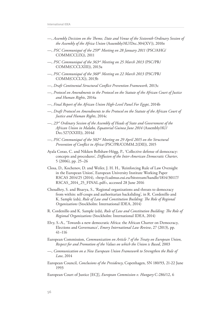- —, *Assembly Decision on the Theme, Date and Venue of the Sixteenth Ordinary Session of the Assembly of the Africa Union* (Assembly/AU/Dec.304(XV)), 2010e
- —, *PSC Communiqué of the 259th Meeting on 28 January 2011* (PSC/AHG/ COMM(CCLIX)), 2011
- —, *PSC Communiqué of the 363rd Meeting on 25 March 2013* (PSC/PR/ COMM(CCCLXIII)), 2013a
- —, *PSC Communiqué of the 360th Meeting on 22 March 2013* (PSC/PR/ COMM(CCCLX)), 2013b
- —, *Draft Continental Structural Conflict Prevention Framework*, 2013c
- —, *Protocol on Amendments to the Protocol on the Statute of the African Court of Justice and Human Rights*, 2014a
- —, *Final Report of the African Union High-Level Panel For Egypt*, 2014b
- —, *Draft Protocol on Amendments to the Protocol on the Statute of the African Court of Justice and Human Rights*, 2014c
- —, *23rd Ordinary Session of the Assembly of Heads of State and Government of the African Union in Malabo, Equatorial Guinea June 2014* (Assembly/AU/ Dec.527(XXIII)), 2014d
- —, *PSC Communiqué of the 502nd Meeting on 29 April 2015 on the Structural Prevention of Conflict in Africa* (PSC/PR/COMM.2(DII)), 2015
- Ayala Corao, C. and Nikken Bellshaw-Hógg, P., 'Collective defense of democracy: concepts and procedures', *Diffusion of the Inter-American Democratic Charter*, 5 (2006), pp. 25–26
- Closa, D., Kochenov, D. and Weiler, J. H. H., 'Reinforcing Rule of Law Oversight in the European Union', European University Institute Working Paper RSCAS 2014/25 (2014), <http://cadmus.eui.eu/bitstream/handle/1814/30117/ RSCAS\_2014\_25\_FINAL.pdf>, accessed 28 June 2016
- Choudhry, S. and Bisarya, S., 'Regional organizations and threats to democracy from within: self-coups and authoritarian backsliding', in R. Cordenillo and K. Sample (eds), *Rule of Law and Constitution Building: The Role of Regional Organizations* (Stockholm: International IDEA, 2014)
- R. Cordenillo and K. Sample (eds), *Rule of Law and Constitution Building: The Role of Regional Organizations* (Stockholm: International IDEA, 2014)
- Elvy, S.-A., 'Towards a new democratic Africa: the African Charter on Democracy, Elections and Governance', *Emory International Law Review*, 27 (2013), pp. 41–116
- European Commission, *Communication on Article 7 of the Treaty on European Union, Respect for and Promotion of the Values on which the Union is Based*, 2003
- —, *Communication on a New European Union Framework to Strengthen the Rule of Law*, 2014
- European Council, *Conclusions of the Presidency*, Copenhagen, SN 180/93, 21-22 June 1993

European Court of Justice [ECJ], *European Commission v. Hungary* C-286/12, 6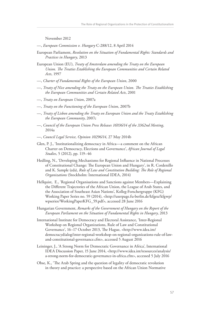November 2012

- —, *European Commission v. Hungary* C-288/12, 8 April 2014
- European Parliament, *Resolution on the Situation of Fundamental Rights: Standards and Practices in Hungary*, 2013
- European Union (EU), *Treaty of Amsterdam amending the Treaty on the European Union. The Treaties Establishing the European Communities and Certain Related Acts*, 1997
- —, *Charter of Fundamental Rights of the European Union*, 2000
- —, *Treaty of Nice amending the Treaty on the European Union. The Treaties Establishing the European Communities and Certain Related Acts*, 2001
- —, *Treaty on European Union*, 2007a
- —, *Treaty on the Functioning of the European Union*, 2007b
- —, *Treaty of Lisbon amending the Treaty on European Union and the Treaty Establishing the European Community*, 2007c
- —, *Council of the European Union Press Releases 16936/14 of the 3362nd Meeting*, 2014a
- —, *Council Legal Service, Opinion 10296/14*, 27 May 2014b
- Glen, P. J., 'Institutionalizing democracy in Africa—a comment on the African Charter on Democracy, Elections and Governance', *African Journal of Legal Studies*, 5 (2012), pp. 119–46
- Hedling, N., 'Developing Mechanisms for Regional Influence in National Processes of Constitutional Change: The European Union and Hungary', in R. Cordenillo and K. Sample (eds), *Rule of Law and Constitution Building: The Role of Regional Organizations* (Stockholm: International IDEA, 2014)
- Hellquist, E., 'Regional Organisations and Sanctions against Members—Explaining the Different Trajectories of the African Union, the League of Arab States, and the Association of Southeast Asian Nations', Kolleg-Forschergruppe (KFG) Working Paper Series no. 59 (2014), <http://userpage.fu-berlin.de/kfgeu/kfgwp/ wpseries/WorkingPaperKFG\_59.pdf>, accessed 28 June 2016
- Hungarian Government, *Remarks of the Government of Hungary on the Report of the European Parliament on the Situation of Fundamental Rights in Hungary*, 2013
- International Institute for Democracy and Electoral Assistance, 'Inter-Regional Workshop on Regional Organizations, Rule of Law and Constitutional Governance', 16–17 October 2013, The Hague, <http://www.idea.int/ democracydialog/inter-regional-workshop-on-regional-organizations-rule-of-lawand-constitutional-governance.cfm>, accessed 5 August 2016
- Leininger, J., 'A Strong Norm for Democratic Governance in Africa', International IDEA Discussion Paper, 15 June 2014, <http://www.idea.int/resources/analysis/ a-strong-norm-for-democratic-governance-in-africa.cfm>, accessed 5 July 2016
- Obse, K., 'The Arab Spring and the question of legality of democratic revolution in theory and practice: a perspective based on the African Union Normative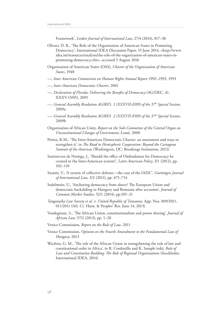Framework', *Leiden Journal of International Law*, 27/4 (2014), 817–38

- Olivari, D. R., 'The Role of the Organization of American States in Promoting Democracy', International IDEA Discussion Paper, 15 June 2014, <http://www. idea.int/resources/analysis/the-role-of-the-organization-of-american-states-inpromoting-democracy.cfm>, accessed 5 August 2016
- Organization of American States (OAS), *Charter of the Organization of American States*, 1948
- —, *Inter American Commission on Human Rights Annual Report 1992–1993*, 1993
- —, *Inter-American Democratic Charter*, 2001
- —, *Declaration of Florida: Delivering the Benefits of Democracy* (AG/DEC. 41. XXXV-O/05), 2005
- —, *General Assembly Resolution AG/RES. 1 (XXXVII-E/09) of the 37th Special Session*, 2009a
- —, *General Assembly Resolution AG/RES. 2 (XXXVII-E/09) of the 37th Special Session*, 2009b
- Organization of African Unity, *Report on the Sub-Committee of the Central Organ on Unconstitutional Changes of Government*, Lomé, 2000
- Perina, R.M., 'The Inter-American Democratic Charter: an assessment and ways to strengthen it', in *The Road to Hemispheric Cooperation: Beyond the Cartagena Summit of the Americas* (Washington, DC: Brookings Institution, 2012)
- Santistevan de Noriega, J., 'Should the office of Ombudsman for Democracy be created in the Inter‐American system?', *Latin American Policy*, 3/1 (2012), pp. 102–110
- Saranti, V., 'A system of collective defense—the case of the IADC', *Goettingen Journal of International Law*, 3/2 (2011), pp. 675–714
- Sedelmeier, U., 'Anchoring democracy from above? The European Union and democratic backsliding in Hungary and Romania after accession', *Journal of Common Market Studies*, 52/1 (2014), pp.105–21
- *Tanganyika Law Society et al. v. United Republic of Tanzania*, App. Nos. 009/2011, 011/2011 (Afr. Ct. Hum. & Peoples' Res. June 14, 2013)
- Vandeginste, S., 'The African Union, constitutionalism and power sharing', *Journal of African Law*, 57/2 (2013), pp. 1–28
- Venice Commission, *Report on the Rule of Law*, 2011
- Venice Commission, *Opinion on the Fourth Amendment to the Fundamental Law of Hungary*, 2013
- Wachira, G. M., 'The role of the African Union in strengthening the rule of law and constitutional order in Africa', in R. Cordenillo and K. Sample (eds), *Rule of Law and Constitution Building: The Role of Regional Organizations* (Stockholm: International IDEA, 2014)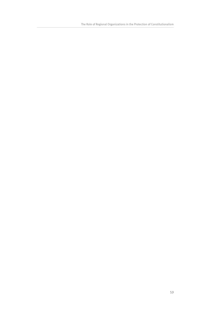The Role of Regional Organizations in the Protection of Constitutionalism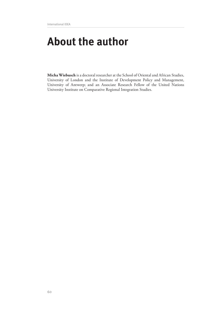# <span id="page-59-0"></span>**About the author**

**Micha Wiebusch** is a doctoral researcher at the School of Oriental and African Studies, University of London and the Institute of Development Policy and Management, University of Antwerp; and an Associate Research Fellow of the United Nations University Institute on Comparative Regional Integration Studies.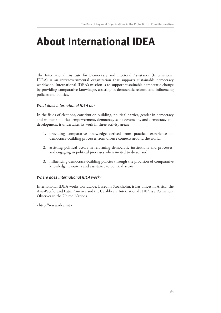# <span id="page-60-0"></span>**About International IDEA**

The International Institute for Democracy and Electoral Assistance (International IDEA) is an intergovernmental organization that supports sustainable democracy worldwide. International IDEA's mission is to support sustainable democratic change by providing comparative knowledge, assisting in democratic reform, and influencing policies and politics.

#### What does International IDFA do?

In the fields of elections, constitution-building, political parties, gender in democracy and women's political empowerment, democracy self-assessments, and democracy and development, it undertakes its work in three activity areas:

- 1. providing comparative knowledge derived from practical experience on democracy-building processes from diverse contexts around the world;
- 2. assisting political actors in reforming democratic institutions and processes, and engaging in political processes when invited to do so; and
- 3. influencing democracy-building policies through the provision of comparative knowledge resources and assistance to political actors.

#### Where does International IDEA work?

International IDEA works worldwide. Based in Stockholm, it has offices in Africa, the Asia-Pacific, and Latin America and the Caribbean. International IDEA is a Permanent Observer to the United Nations.

<http://www.idea.int>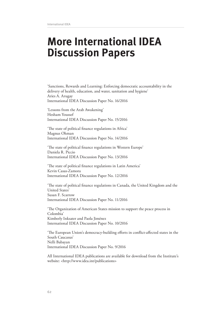# <span id="page-61-0"></span>**More International IDEA Discussion Papers**

'Sanctions, Rewards and Learning: Enforcing democratic accountability in the delivery of health, education, and water, sanitation and hygiene' Aries A. Arugay International IDEA Discussion Paper No. 16/2016

'Lessons from the Arab Awakening' Hesham Youssef International IDEA Discussion Paper No. 15/2016

'The state of political finance regulations in Africa' Magnus Ohman International IDEA Discussion Paper No. 14/2016

'The state of political finance regulations in Western Europe' Daniela R. Piccio International IDEA Discussion Paper No. 13/2016

'The state of political finance regulations in Latin America' Kevin Casas-Zamora International IDEA Discussion Paper No. 12/2016

'The state of political finance regulations in Canada, the United Kingdom and the United States' Susan F. Scarrow International IDEA Discussion Paper No. 11/2016

'The Organization of American States mission to support the peace process in Colombia' Kimberly Inksater and Paola Jiménez International IDEA Discussion Paper No. 10/2016

'The European Union's democracy-building efforts in conflict-affected states in the South Caucasus' Nelli Babayan International IDEA Discussion Paper No. 9/2016

All International IDEA publications are available for download from the Institute's website: <http://www.idea.int/publications>